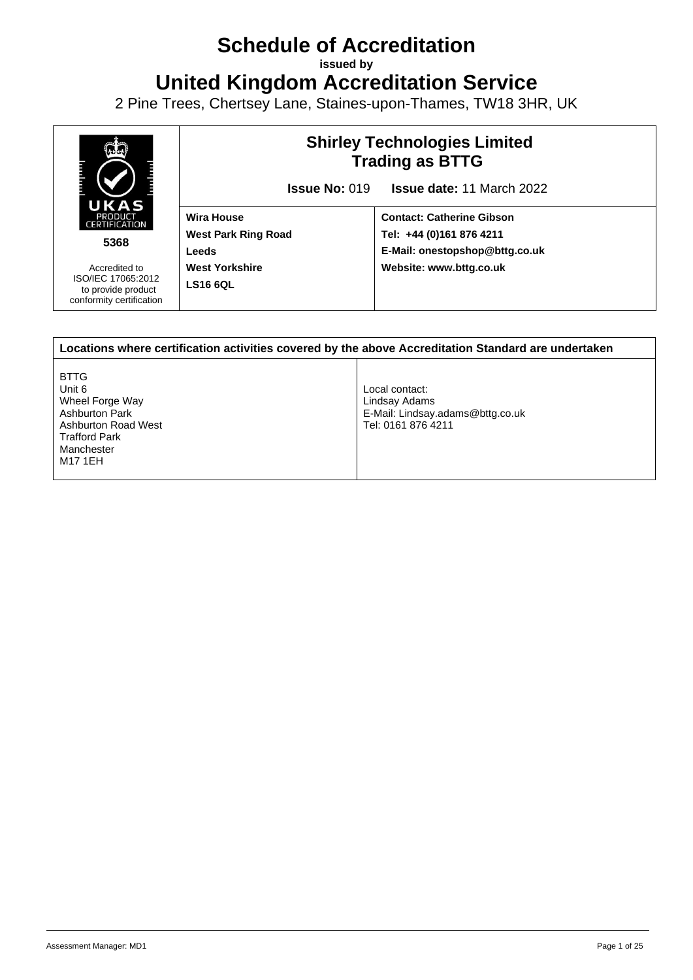# **Schedule of Accreditation**

**issued by**

**United Kingdom Accreditation Service**

2 Pine Trees, Chertsey Lane, Staines-upon-Thames, TW18 3HR, UK



**5368**

Accredited to ISO/IEC 17065:2012 to provide product conformity certification

# **Shirley Technologies Limited Trading as BTTG**

**Issue No:** 019 **Issue date:** 11 March 2022

**Wira House West Park Ring Road Leeds West Yorkshire LS16 6QL**

**Contact: Catherine Gibson Tel: +44 (0)161 876 4211 E-Mail: onestopshop@bttg.co.uk Website: www.bttg.co.uk**

| Locations where certification activities covered by the above Accreditation Standard are undertaken                                |                                                                                           |  |  |
|------------------------------------------------------------------------------------------------------------------------------------|-------------------------------------------------------------------------------------------|--|--|
| <b>BTTG</b><br>Unit 6<br>Wheel Forge Way<br>Ashburton Park<br>Ashburton Road West<br><b>Trafford Park</b><br>Manchester<br>M17 1EH | Local contact:<br>Lindsay Adams<br>E-Mail: Lindsay.adams@bttg.co.uk<br>Tel: 0161 876 4211 |  |  |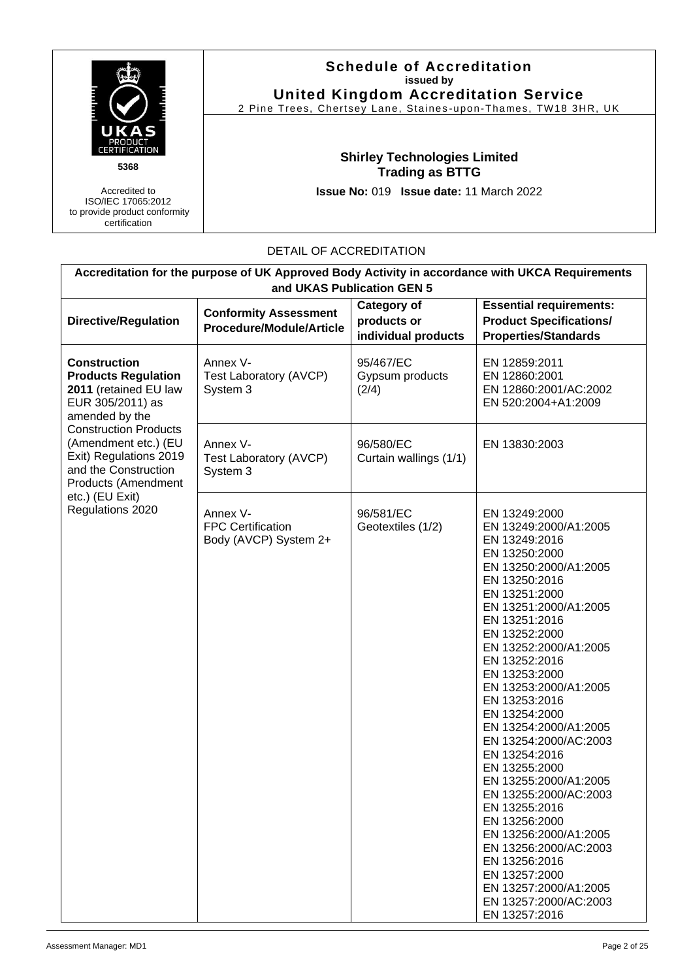

Accredited to ISO/IEC 17065:2012 to provide product conformity certification

## **Schedule of Accreditation issued by United Kingdom Accreditation Service**

2 Pine Trees, Chertsey Lane, Staines -upon-Thames, TW18 3HR, UK

# **Shirley Technologies Limited Trading as BTTG**

**Issue No:** 019 **Issue date:** 11 March 2022

# DETAIL OF ACCREDITATION

| Accreditation for the purpose of UK Approved Body Activity in accordance with UKCA Requirements<br>and UKAS Publication GEN 5 |                                                                 |                                                          |                                                                                                                                                                                                                                                                                                                                                                                                                                                                                                                                                                                                                                                     |
|-------------------------------------------------------------------------------------------------------------------------------|-----------------------------------------------------------------|----------------------------------------------------------|-----------------------------------------------------------------------------------------------------------------------------------------------------------------------------------------------------------------------------------------------------------------------------------------------------------------------------------------------------------------------------------------------------------------------------------------------------------------------------------------------------------------------------------------------------------------------------------------------------------------------------------------------------|
| <b>Directive/Regulation</b>                                                                                                   | <b>Conformity Assessment</b><br><b>Procedure/Module/Article</b> | <b>Category of</b><br>products or<br>individual products | <b>Essential requirements:</b><br><b>Product Specifications/</b><br><b>Properties/Standards</b>                                                                                                                                                                                                                                                                                                                                                                                                                                                                                                                                                     |
| <b>Construction</b><br><b>Products Regulation</b><br>2011 (retained EU law<br>EUR 305/2011) as<br>amended by the              | Annex V-<br>Test Laboratory (AVCP)<br>System 3                  | 95/467/EC<br>Gypsum products<br>(2/4)                    | EN 12859:2011<br>EN 12860:2001<br>EN 12860:2001/AC:2002<br>EN 520:2004+A1:2009                                                                                                                                                                                                                                                                                                                                                                                                                                                                                                                                                                      |
| <b>Construction Products</b><br>(Amendment etc.) (EU<br>Exit) Regulations 2019<br>and the Construction<br>Products (Amendment | Annex V-<br>Test Laboratory (AVCP)<br>System 3                  | 96/580/EC<br>Curtain wallings (1/1)                      | EN 13830:2003                                                                                                                                                                                                                                                                                                                                                                                                                                                                                                                                                                                                                                       |
| etc.) (EU Exit)<br>Regulations 2020                                                                                           | Annex V-<br><b>FPC Certification</b><br>Body (AVCP) System 2+   | 96/581/EC<br>Geotextiles (1/2)                           | EN 13249:2000<br>EN 13249:2000/A1:2005<br>EN 13249:2016<br>EN 13250:2000<br>EN 13250:2000/A1:2005<br>EN 13250:2016<br>EN 13251:2000<br>EN 13251:2000/A1:2005<br>EN 13251:2016<br>EN 13252:2000<br>EN 13252:2000/A1:2005<br>EN 13252:2016<br>EN 13253:2000<br>EN 13253:2000/A1:2005<br>EN 13253:2016<br>EN 13254:2000<br>EN 13254:2000/A1:2005<br>EN 13254:2000/AC:2003<br>EN 13254:2016<br>EN 13255:2000<br>EN 13255:2000/A1:2005<br>EN 13255:2000/AC:2003<br>EN 13255:2016<br>EN 13256:2000<br>EN 13256:2000/A1:2005<br>EN 13256:2000/AC:2003<br>EN 13256:2016<br>EN 13257:2000<br>EN 13257:2000/A1:2005<br>EN 13257:2000/AC:2003<br>EN 13257:2016 |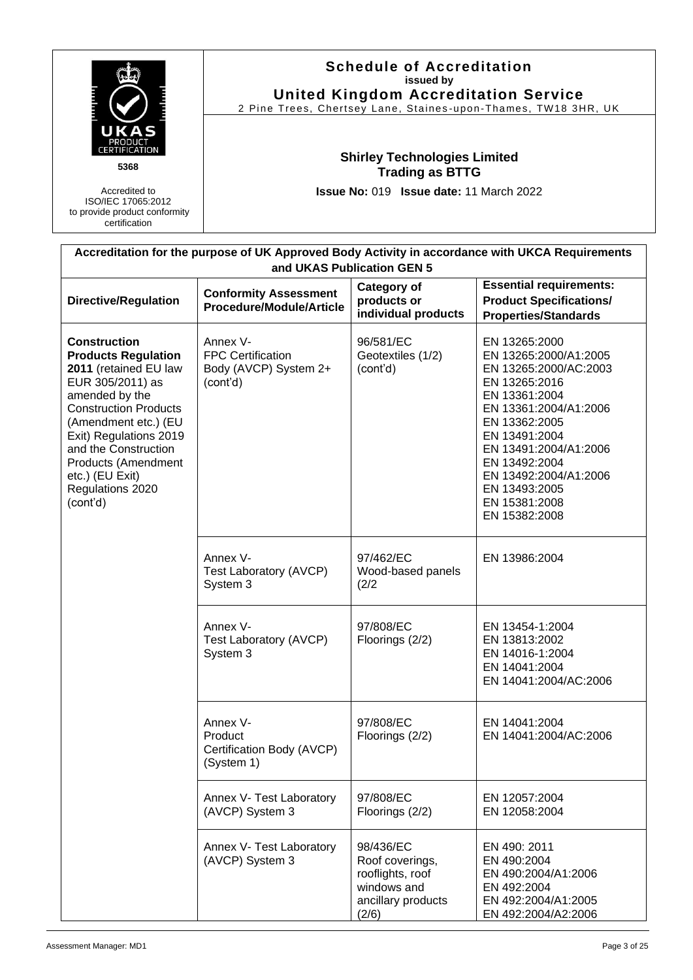|                                                                                                                                                                                                                                                                                                      | <b>Schedule of Accreditation</b><br>issued by<br><b>United Kingdom Accreditation Service</b><br>2 Pine Trees, Chertsey Lane, Staines-upon-Thames, TW18 3HR, UK |                                                                                                |                                                                                                                                                                                                                                                                                    |  |  |
|------------------------------------------------------------------------------------------------------------------------------------------------------------------------------------------------------------------------------------------------------------------------------------------------------|----------------------------------------------------------------------------------------------------------------------------------------------------------------|------------------------------------------------------------------------------------------------|------------------------------------------------------------------------------------------------------------------------------------------------------------------------------------------------------------------------------------------------------------------------------------|--|--|
| <b>IFICATION</b><br>5368                                                                                                                                                                                                                                                                             | <b>Shirley Technologies Limited</b><br><b>Trading as BTTG</b>                                                                                                  |                                                                                                |                                                                                                                                                                                                                                                                                    |  |  |
| Accredited to<br>ISO/IEC 17065:2012<br>to provide product conformity<br>certification                                                                                                                                                                                                                |                                                                                                                                                                | Issue No: 019 Issue date: 11 March 2022                                                        |                                                                                                                                                                                                                                                                                    |  |  |
|                                                                                                                                                                                                                                                                                                      |                                                                                                                                                                | and UKAS Publication GEN 5                                                                     | Accreditation for the purpose of UK Approved Body Activity in accordance with UKCA Requirements                                                                                                                                                                                    |  |  |
| <b>Directive/Regulation</b>                                                                                                                                                                                                                                                                          | <b>Conformity Assessment</b><br>Procedure/Module/Article                                                                                                       | <b>Category of</b><br>products or<br>individual products                                       | <b>Essential requirements:</b><br><b>Product Specifications/</b><br><b>Properties/Standards</b>                                                                                                                                                                                    |  |  |
| <b>Construction</b><br><b>Products Regulation</b><br>2011 (retained EU law<br>EUR 305/2011) as<br>amended by the<br><b>Construction Products</b><br>(Amendment etc.) (EU<br>Exit) Regulations 2019<br>and the Construction<br>Products (Amendment<br>etc.) (EU Exit)<br>Regulations 2020<br>(cont'd) | Annex V-<br><b>FPC Certification</b><br>Body (AVCP) System 2+<br>(cont'd)                                                                                      | 96/581/EC<br>Geotextiles (1/2)<br>(cont'd)                                                     | EN 13265:2000<br>EN 13265:2000/A1:2005<br>EN 13265:2000/AC:2003<br>EN 13265:2016<br>EN 13361:2004<br>EN 13361:2004/A1:2006<br>EN 13362:2005<br>EN 13491:2004<br>EN 13491:2004/A1:2006<br>EN 13492:2004<br>EN 13492:2004/A1:2006<br>EN 13493:2005<br>EN 15381:2008<br>EN 15382:2008 |  |  |
|                                                                                                                                                                                                                                                                                                      | Annex V-<br>Test Laboratory (AVCP)<br>System 3                                                                                                                 | 97/462/EC<br>Wood-based panels<br>(2/2)                                                        | EN 13986:2004                                                                                                                                                                                                                                                                      |  |  |
|                                                                                                                                                                                                                                                                                                      | Annex V-<br>Test Laboratory (AVCP)<br>System 3                                                                                                                 | 97/808/EC<br>Floorings (2/2)                                                                   | EN 13454-1:2004<br>EN 13813:2002<br>EN 14016-1:2004<br>EN 14041:2004<br>EN 14041:2004/AC:2006                                                                                                                                                                                      |  |  |
|                                                                                                                                                                                                                                                                                                      | Annex V-<br>Product<br>Certification Body (AVCP)<br>(System 1)                                                                                                 | 97/808/EC<br>Floorings (2/2)                                                                   | EN 14041:2004<br>EN 14041:2004/AC:2006                                                                                                                                                                                                                                             |  |  |
|                                                                                                                                                                                                                                                                                                      | Annex V- Test Laboratory<br>(AVCP) System 3                                                                                                                    | 97/808/EC<br>Floorings (2/2)                                                                   | EN 12057:2004<br>EN 12058:2004                                                                                                                                                                                                                                                     |  |  |
|                                                                                                                                                                                                                                                                                                      | Annex V- Test Laboratory<br>(AVCP) System 3                                                                                                                    | 98/436/EC<br>Roof coverings,<br>rooflights, roof<br>windows and<br>ancillary products<br>(2/6) | EN 490: 2011<br>EN 490:2004<br>EN 490:2004/A1:2006<br>EN 492:2004<br>EN 492:2004/A1:2005<br>EN 492:2004/A2:2006                                                                                                                                                                    |  |  |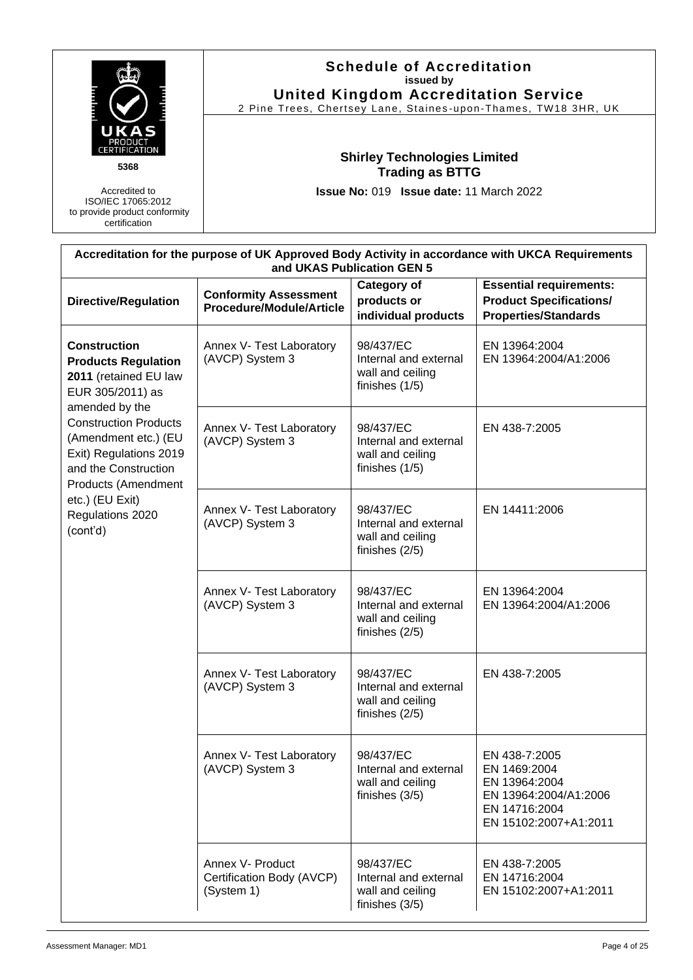|                                                                                                                               | <b>Schedule of Accreditation</b><br>issued by<br><b>United Kingdom Accreditation Service</b><br>2 Pine Trees, Chertsey Lane, Staines-upon-Thames, TW18 3HR, UK |                                                                            |                                                                                                                   |  |  |
|-------------------------------------------------------------------------------------------------------------------------------|----------------------------------------------------------------------------------------------------------------------------------------------------------------|----------------------------------------------------------------------------|-------------------------------------------------------------------------------------------------------------------|--|--|
| 5368                                                                                                                          | <b>Shirley Technologies Limited</b><br><b>Trading as BTTG</b>                                                                                                  |                                                                            |                                                                                                                   |  |  |
| Accredited to<br>ISO/IEC 17065:2012<br>to provide product conformity<br>certification                                         |                                                                                                                                                                | Issue No: 019 Issue date: 11 March 2022                                    |                                                                                                                   |  |  |
|                                                                                                                               |                                                                                                                                                                | and UKAS Publication GEN 5                                                 | Accreditation for the purpose of UK Approved Body Activity in accordance with UKCA Requirements                   |  |  |
| <b>Directive/Regulation</b>                                                                                                   | <b>Conformity Assessment</b><br>Procedure/Module/Article                                                                                                       | <b>Category of</b><br>products or<br>individual products                   | <b>Essential requirements:</b><br><b>Product Specifications/</b><br><b>Properties/Standards</b>                   |  |  |
| <b>Construction</b><br><b>Products Regulation</b><br>2011 (retained EU law<br>EUR 305/2011) as<br>amended by the              | Annex V- Test Laboratory<br>(AVCP) System 3                                                                                                                    | 98/437/EC<br>Internal and external<br>wall and ceiling<br>finishes (1/5)   | EN 13964:2004<br>EN 13964:2004/A1:2006                                                                            |  |  |
| <b>Construction Products</b><br>(Amendment etc.) (EU<br>Exit) Regulations 2019<br>and the Construction<br>Products (Amendment | Annex V- Test Laboratory<br>(AVCP) System 3                                                                                                                    | 98/437/EC<br>Internal and external<br>wall and ceiling<br>finishes (1/5)   | EN 438-7:2005                                                                                                     |  |  |
| etc.) (EU Exit)<br>Regulations 2020<br>(cont'd)                                                                               | Annex V- Test Laboratory<br>(AVCP) System 3                                                                                                                    | 98/437/EC<br>Internal and external<br>wall and ceiling<br>finishes $(2/5)$ | EN 14411:2006                                                                                                     |  |  |
|                                                                                                                               | Annex V- Test Laboratory<br>(AVCP) System 3                                                                                                                    | 98/437/EC<br>Internal and external<br>wall and ceiling<br>finishes (2/5)   | EN 13964:2004<br>EN 13964:2004/A1:2006                                                                            |  |  |
|                                                                                                                               | Annex V- Test Laboratory<br>(AVCP) System 3                                                                                                                    | 98/437/EC<br>Internal and external<br>wall and ceiling<br>finishes $(2/5)$ | EN 438-7:2005                                                                                                     |  |  |
|                                                                                                                               | Annex V- Test Laboratory<br>(AVCP) System 3                                                                                                                    | 98/437/EC<br>Internal and external<br>wall and ceiling<br>finishes $(3/5)$ | EN 438-7:2005<br>EN 1469:2004<br>EN 13964:2004<br>EN 13964:2004/A1:2006<br>EN 14716:2004<br>EN 15102:2007+A1:2011 |  |  |
|                                                                                                                               | Annex V- Product<br>Certification Body (AVCP)<br>(System 1)                                                                                                    | 98/437/EC<br>Internal and external<br>wall and ceiling<br>finishes $(3/5)$ | EN 438-7:2005<br>EN 14716:2004<br>EN 15102:2007+A1:2011                                                           |  |  |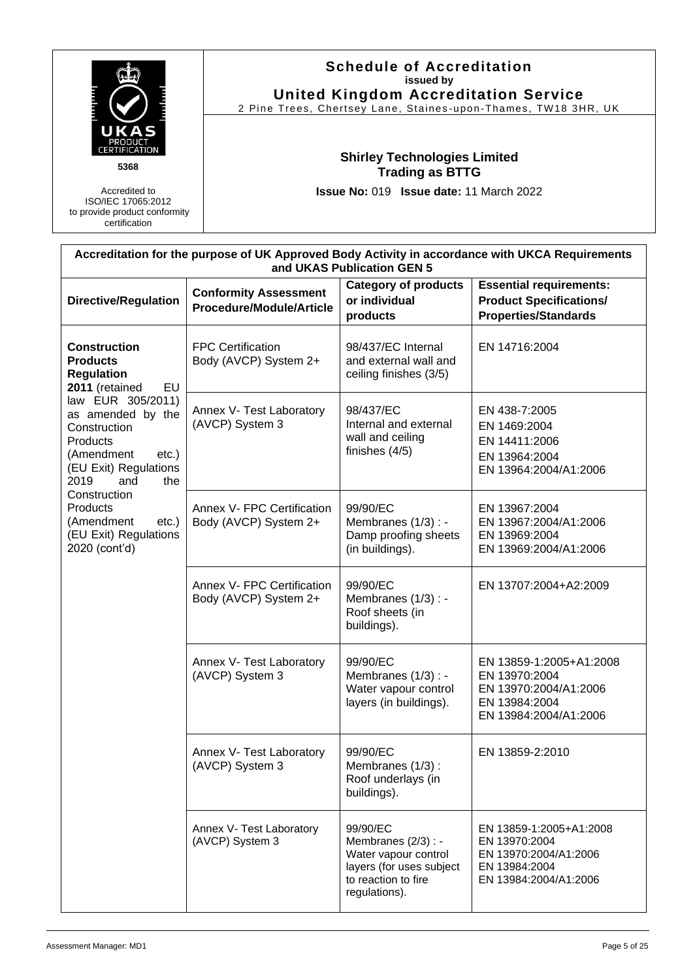|                                                                                                                                             |                                                                                                          | <b>Schedule of Accreditation</b><br><b>United Kingdom Accreditation Service</b><br>2 Pine Trees, Chertsey Lane, Staines-upon-Thames, TW18 3HR, UK |                                                                                                             |
|---------------------------------------------------------------------------------------------------------------------------------------------|----------------------------------------------------------------------------------------------------------|---------------------------------------------------------------------------------------------------------------------------------------------------|-------------------------------------------------------------------------------------------------------------|
| UKAS<br>5368<br>Accredited to<br>ISO/IEC 17065:2012<br>to provide product conformity<br>certification                                       | <b>Shirley Technologies Limited</b><br><b>Trading as BTTG</b><br>Issue No: 019 Issue date: 11 March 2022 |                                                                                                                                                   |                                                                                                             |
|                                                                                                                                             |                                                                                                          | and UKAS Publication GEN 5                                                                                                                        | Accreditation for the purpose of UK Approved Body Activity in accordance with UKCA Requirements             |
| <b>Directive/Regulation</b>                                                                                                                 | <b>Conformity Assessment</b><br>Procedure/Module/Article                                                 | <b>Category of products</b><br>or individual<br>products                                                                                          | <b>Essential requirements:</b><br><b>Product Specifications/</b><br><b>Properties/Standards</b>             |
| <b>Construction</b><br><b>Products</b><br><b>Regulation</b><br>2011 (retained<br>EU                                                         | <b>FPC Certification</b><br>Body (AVCP) System 2+                                                        | 98/437/EC Internal<br>and external wall and<br>ceiling finishes (3/5)                                                                             | EN 14716:2004                                                                                               |
| law EUR 305/2011)<br>as amended by the<br>Construction<br>Products<br>(Amendment<br>$etc.$ )<br>(EU Exit) Regulations<br>2019<br>and<br>the | Annex V- Test Laboratory<br>(AVCP) System 3                                                              | 98/437/EC<br>Internal and external<br>wall and ceiling<br>finishes $(4/5)$                                                                        | EN 438-7:2005<br>EN 1469:2004<br>EN 14411:2006<br>EN 13964:2004<br>EN 13964:2004/A1:2006                    |
| Construction<br><b>Products</b><br>(Amendment<br>$etc.$ )<br>(EU Exit) Regulations<br>2020 (cont'd)                                         | Annex V- FPC Certification<br>Body (AVCP) System 2+                                                      | 99/90/EC<br>Membranes (1/3) : -<br>Damp proofing sheets<br>(in buildings).                                                                        | EN 13967:2004<br>EN 13967:2004/A1:2006<br>EN 13969:2004<br>EN 13969:2004/A1:2006                            |
|                                                                                                                                             | Annex V- FPC Certification<br>Body (AVCP) System 2+                                                      | 99/90/EC<br>Membranes $(1/3)$ : -<br>Roof sheets (in<br>buildings).                                                                               | EN 13707:2004+A2:2009                                                                                       |
|                                                                                                                                             | Annex V- Test Laboratory<br>(AVCP) System 3                                                              | 99/90/EC<br>Membranes $(1/3)$ : -<br>Water vapour control<br>layers (in buildings).                                                               | EN 13859-1:2005+A1:2008<br>EN 13970:2004<br>EN 13970:2004/A1:2006<br>EN 13984:2004<br>EN 13984:2004/A1:2006 |
|                                                                                                                                             | Annex V- Test Laboratory<br>(AVCP) System 3                                                              | 99/90/EC<br>Membranes (1/3):<br>Roof underlays (in<br>buildings).                                                                                 | EN 13859-2:2010                                                                                             |
|                                                                                                                                             | Annex V- Test Laboratory<br>(AVCP) System 3                                                              | 99/90/EC<br>Membranes (2/3) : -<br>Water vapour control<br>layers (for uses subject<br>to reaction to fire<br>regulations).                       | EN 13859-1:2005+A1:2008<br>EN 13970:2004<br>EN 13970:2004/A1:2006<br>EN 13984:2004<br>EN 13984:2004/A1:2006 |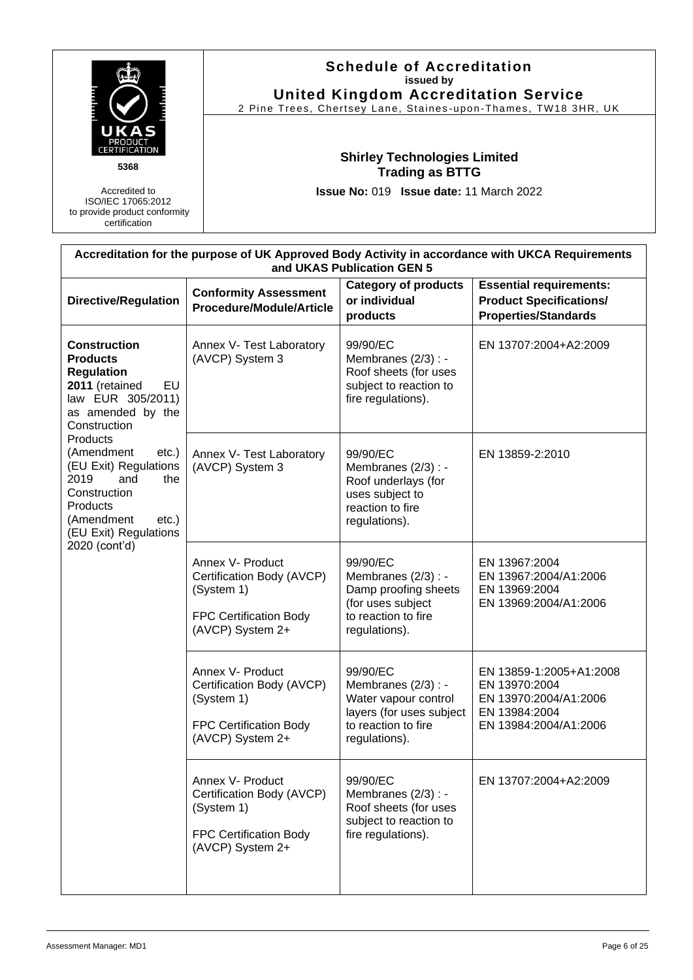| UKAS<br><b>PRODUC</b><br>CERTIFICATION<br>5368<br>Accredited to<br>ISO/IEC 17065:2012                                                                            | <b>Schedule of Accreditation</b><br>issued by<br><b>United Kingdom Accreditation Service</b><br>2 Pine Trees, Chertsey Lane, Staines-upon-Thames, TW18 3HR, UK<br><b>Shirley Technologies Limited</b><br><b>Trading as BTTG</b><br>Issue No: 019 Issue date: 11 March 2022 |                                                                                                                             |                                                                                                             |
|------------------------------------------------------------------------------------------------------------------------------------------------------------------|----------------------------------------------------------------------------------------------------------------------------------------------------------------------------------------------------------------------------------------------------------------------------|-----------------------------------------------------------------------------------------------------------------------------|-------------------------------------------------------------------------------------------------------------|
| to provide product conformity<br>certification                                                                                                                   |                                                                                                                                                                                                                                                                            |                                                                                                                             | Accreditation for the purpose of UK Approved Body Activity in accordance with UKCA Requirements             |
|                                                                                                                                                                  |                                                                                                                                                                                                                                                                            | and UKAS Publication GEN 5                                                                                                  |                                                                                                             |
| <b>Directive/Regulation</b>                                                                                                                                      | <b>Conformity Assessment</b><br><b>Procedure/Module/Article</b>                                                                                                                                                                                                            | <b>Category of products</b><br>or individual<br>products                                                                    | <b>Essential requirements:</b><br><b>Product Specifications/</b><br><b>Properties/Standards</b>             |
| <b>Construction</b><br><b>Products</b><br><b>Regulation</b><br>2011 (retained<br>EU<br>law EUR 305/2011)<br>as amended by the<br>Construction                    | Annex V- Test Laboratory<br>(AVCP) System 3                                                                                                                                                                                                                                | 99/90/EC<br>Membranes (2/3) : -<br>Roof sheets (for uses<br>subject to reaction to<br>fire regulations).                    | EN 13707:2004+A2:2009                                                                                       |
| Products<br>(Amendment<br>$etc.$ )<br>(EU Exit) Regulations<br>2019<br>and<br>the<br>Construction<br>Products<br>(Amendment<br>$etc.$ )<br>(EU Exit) Regulations | Annex V- Test Laboratory<br>(AVCP) System 3                                                                                                                                                                                                                                | 99/90/EC<br>Membranes (2/3) : -<br>Roof underlays (for<br>uses subject to<br>reaction to fire<br>regulations).              | EN 13859-2:2010                                                                                             |
| 2020 (cont'd)                                                                                                                                                    | Annex V- Product<br>Certification Body (AVCP)<br>(System 1)<br>FPC Certification Body<br>(AVCP) System 2+                                                                                                                                                                  | 99/90/EC<br>Membranes (2/3) : -<br>Damp proofing sheets<br>(for uses subject<br>to reaction to fire<br>regulations).        | EN 13967:2004<br>EN 13967:2004/A1:2006<br>EN 13969:2004<br>EN 13969:2004/A1:2006                            |
|                                                                                                                                                                  | Annex V- Product<br>Certification Body (AVCP)<br>(System 1)<br><b>FPC Certification Body</b><br>(AVCP) System 2+                                                                                                                                                           | 99/90/EC<br>Membranes (2/3) : -<br>Water vapour control<br>layers (for uses subject<br>to reaction to fire<br>regulations). | EN 13859-1:2005+A1:2008<br>EN 13970:2004<br>EN 13970:2004/A1:2006<br>EN 13984:2004<br>EN 13984:2004/A1:2006 |
|                                                                                                                                                                  | Annex V- Product<br>Certification Body (AVCP)<br>(System 1)<br>FPC Certification Body<br>(AVCP) System 2+                                                                                                                                                                  | 99/90/EC<br>Membranes (2/3) : -<br>Roof sheets (for uses<br>subject to reaction to<br>fire regulations).                    | EN 13707:2004+A2:2009                                                                                       |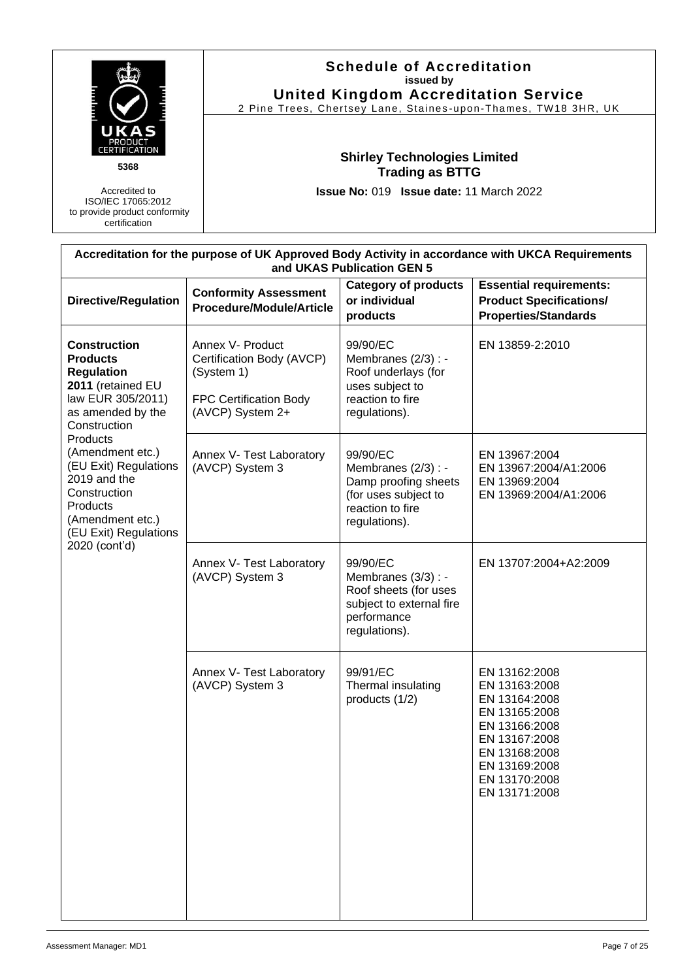|                                                                                                                                                                                                                                                                                                               |                                                                                                           | <b>Schedule of Accreditation</b><br>issued by<br><b>United Kingdom Accreditation Service</b><br>2 Pine Trees, Chertsey Lane, Staines-upon-Thames, TW18 3HR, UK |                                                                                                                                                                        |  |  |
|---------------------------------------------------------------------------------------------------------------------------------------------------------------------------------------------------------------------------------------------------------------------------------------------------------------|-----------------------------------------------------------------------------------------------------------|----------------------------------------------------------------------------------------------------------------------------------------------------------------|------------------------------------------------------------------------------------------------------------------------------------------------------------------------|--|--|
| <b>FICATION</b><br>5368                                                                                                                                                                                                                                                                                       |                                                                                                           | <b>Shirley Technologies Limited</b><br><b>Trading as BTTG</b>                                                                                                  |                                                                                                                                                                        |  |  |
| Accredited to<br>ISO/IEC 17065:2012<br>to provide product conformity<br>certification                                                                                                                                                                                                                         |                                                                                                           | Issue No: 019 Issue date: 11 March 2022                                                                                                                        |                                                                                                                                                                        |  |  |
|                                                                                                                                                                                                                                                                                                               |                                                                                                           | and UKAS Publication GEN 5                                                                                                                                     | Accreditation for the purpose of UK Approved Body Activity in accordance with UKCA Requirements                                                                        |  |  |
| <b>Directive/Regulation</b>                                                                                                                                                                                                                                                                                   | <b>Conformity Assessment</b><br>Procedure/Module/Article                                                  | <b>Category of products</b><br>or individual<br>products                                                                                                       | <b>Essential requirements:</b><br><b>Product Specifications/</b><br><b>Properties/Standards</b>                                                                        |  |  |
| <b>Construction</b><br><b>Products</b><br><b>Regulation</b><br>2011 (retained EU<br>law EUR 305/2011)<br>as amended by the<br>Construction<br>Products<br>(Amendment etc.)<br>(EU Exit) Regulations<br>2019 and the<br>Construction<br>Products<br>(Amendment etc.)<br>(EU Exit) Regulations<br>2020 (cont'd) | Annex V- Product<br>Certification Body (AVCP)<br>(System 1)<br>FPC Certification Body<br>(AVCP) System 2+ | 99/90/EC<br>Membranes $(2/3)$ : -<br>Roof underlays (for<br>uses subject to<br>reaction to fire<br>regulations).                                               | EN 13859-2:2010                                                                                                                                                        |  |  |
|                                                                                                                                                                                                                                                                                                               | Annex V- Test Laboratory<br>(AVCP) System 3                                                               | 99/90/EC<br>Membranes (2/3) : -<br>Damp proofing sheets<br>(for uses subject to<br>reaction to fire<br>regulations).                                           | EN 13967:2004<br>EN 13967:2004/A1:2006<br>EN 13969:2004<br>EN 13969:2004/A1:2006                                                                                       |  |  |
|                                                                                                                                                                                                                                                                                                               | Annex V- Test Laboratory<br>(AVCP) System 3                                                               | 99/90/EC<br>Membranes (3/3) : -<br>Roof sheets (for uses<br>subject to external fire<br>performance<br>regulations).                                           | EN 13707:2004+A2:2009                                                                                                                                                  |  |  |
|                                                                                                                                                                                                                                                                                                               | Annex V- Test Laboratory<br>(AVCP) System 3                                                               | 99/91/EC<br>Thermal insulating<br>products (1/2)                                                                                                               | EN 13162:2008<br>EN 13163:2008<br>EN 13164:2008<br>EN 13165:2008<br>EN 13166:2008<br>EN 13167:2008<br>EN 13168:2008<br>EN 13169:2008<br>EN 13170:2008<br>EN 13171:2008 |  |  |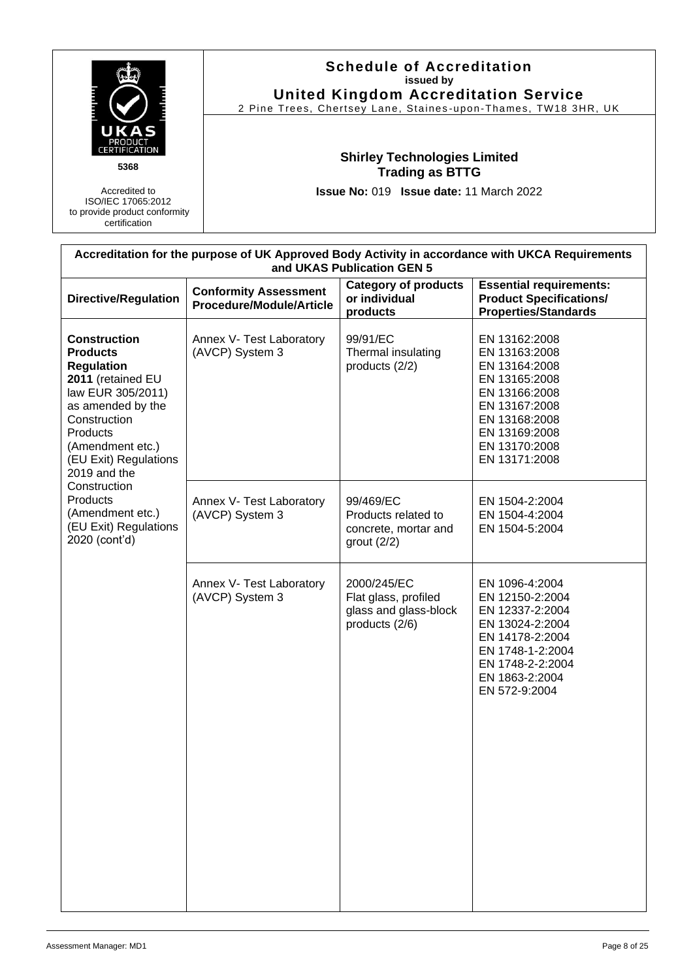|                                                                                                                                                                                                                                                                                                                      |                                                                 | <b>Schedule of Accreditation</b><br>issued by<br><b>United Kingdom Accreditation Service</b><br>2 Pine Trees, Chertsey Lane, Staines-upon-Thames, TW18 3HR, UK |                                                                                                                                                                        |  |  |
|----------------------------------------------------------------------------------------------------------------------------------------------------------------------------------------------------------------------------------------------------------------------------------------------------------------------|-----------------------------------------------------------------|----------------------------------------------------------------------------------------------------------------------------------------------------------------|------------------------------------------------------------------------------------------------------------------------------------------------------------------------|--|--|
| UKAS<br>PRODUC<br><b>FICATION</b><br>5368<br>Accredited to<br>ISO/IEC 17065:2012<br>to provide product conformity<br>certification                                                                                                                                                                                   |                                                                 | <b>Shirley Technologies Limited</b><br><b>Trading as BTTG</b><br>Issue No: 019 Issue date: 11 March 2022                                                       |                                                                                                                                                                        |  |  |
|                                                                                                                                                                                                                                                                                                                      |                                                                 | and UKAS Publication GEN 5                                                                                                                                     | Accreditation for the purpose of UK Approved Body Activity in accordance with UKCA Requirements                                                                        |  |  |
| <b>Directive/Regulation</b>                                                                                                                                                                                                                                                                                          | <b>Conformity Assessment</b><br><b>Procedure/Module/Article</b> | <b>Category of products</b><br>or individual<br>products                                                                                                       | <b>Essential requirements:</b><br><b>Product Specifications/</b><br><b>Properties/Standards</b>                                                                        |  |  |
| <b>Construction</b><br><b>Products</b><br><b>Regulation</b><br>2011 (retained EU<br>law EUR 305/2011)<br>as amended by the<br>Construction<br>Products<br>(Amendment etc.)<br>(EU Exit) Regulations<br>2019 and the<br>Construction<br><b>Products</b><br>(Amendment etc.)<br>(EU Exit) Regulations<br>2020 (cont'd) | Annex V- Test Laboratory<br>(AVCP) System 3                     | 99/91/EC<br>Thermal insulating<br>products (2/2)                                                                                                               | EN 13162:2008<br>EN 13163:2008<br>EN 13164:2008<br>EN 13165:2008<br>EN 13166:2008<br>EN 13167:2008<br>EN 13168:2008<br>EN 13169:2008<br>EN 13170:2008<br>EN 13171:2008 |  |  |
|                                                                                                                                                                                                                                                                                                                      | Annex V- Test Laboratory<br>(AVCP) System 3                     | 99/469/EC<br>Products related to<br>concrete, mortar and<br>grout $(2/2)$                                                                                      | EN 1504-2:2004<br>EN 1504-4:2004<br>EN 1504-5:2004                                                                                                                     |  |  |
|                                                                                                                                                                                                                                                                                                                      | Annex V- Test Laboratory<br>(AVCP) System 3                     | 2000/245/EC<br>Flat glass, profiled<br>glass and glass-block<br>products (2/6)                                                                                 | EN 1096-4:2004<br>EN 12150-2:2004<br>EN 12337-2:2004<br>EN 13024-2:2004<br>EN 14178-2:2004<br>EN 1748-1-2:2004<br>EN 1748-2-2:2004<br>EN 1863-2:2004<br>EN 572-9:2004  |  |  |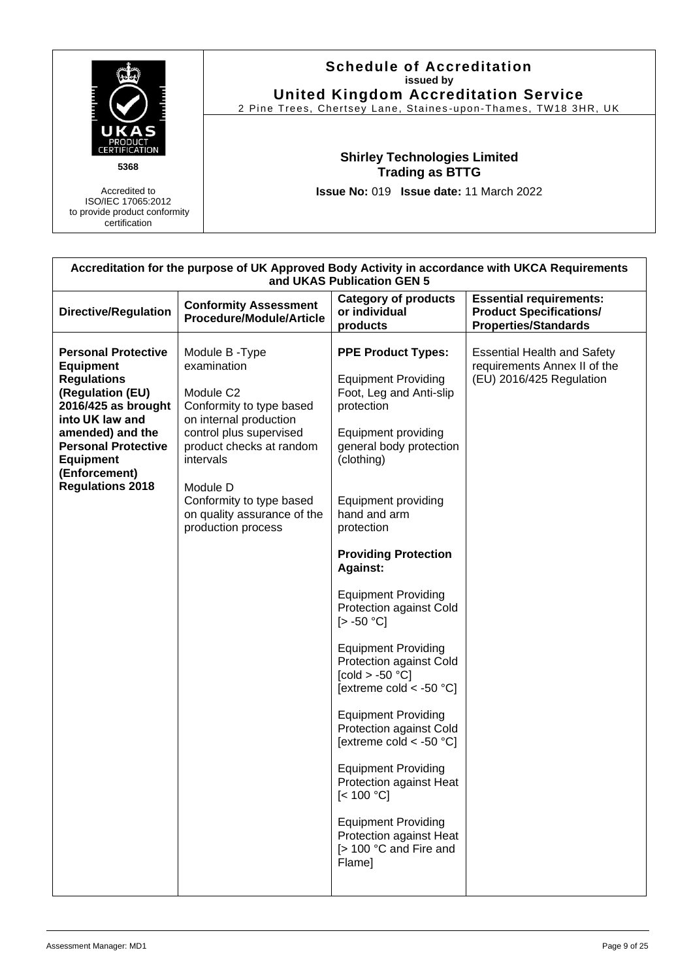

Accredited to ISO/IEC 17065:2012 to provide product conformity certification

#### **Schedule of Accreditation issued by United Kingdom Accreditation Service**

2 Pine Trees, Chertsey Lane, Staines -upon-Thames, TW18 3HR, UK

### **Shirley Technologies Limited Trading as BTTG**

**Issue No:** 019 **Issue date:** 11 March 2022

| Accreditation for the purpose of UK Approved Body Activity in accordance with UKCA Requirements<br>and UKAS Publication GEN 5                                                                                                                        |                                                                                                                                                                                                                                                                               |                                                                                                                                                                                                                                                                                                                                                                                                                                                                                                                                                                                                                                                                                                                                                      |                                                                                                 |
|------------------------------------------------------------------------------------------------------------------------------------------------------------------------------------------------------------------------------------------------------|-------------------------------------------------------------------------------------------------------------------------------------------------------------------------------------------------------------------------------------------------------------------------------|------------------------------------------------------------------------------------------------------------------------------------------------------------------------------------------------------------------------------------------------------------------------------------------------------------------------------------------------------------------------------------------------------------------------------------------------------------------------------------------------------------------------------------------------------------------------------------------------------------------------------------------------------------------------------------------------------------------------------------------------------|-------------------------------------------------------------------------------------------------|
| <b>Directive/Regulation</b>                                                                                                                                                                                                                          | <b>Conformity Assessment</b><br><b>Procedure/Module/Article</b>                                                                                                                                                                                                               | <b>Category of products</b><br>or individual<br>products                                                                                                                                                                                                                                                                                                                                                                                                                                                                                                                                                                                                                                                                                             | <b>Essential requirements:</b><br><b>Product Specifications/</b><br><b>Properties/Standards</b> |
| <b>Personal Protective</b><br><b>Equipment</b><br><b>Regulations</b><br>(Regulation (EU)<br>2016/425 as brought<br>into UK law and<br>amended) and the<br><b>Personal Protective</b><br><b>Equipment</b><br>(Enforcement)<br><b>Regulations 2018</b> | Module B -Type<br>examination<br>Module C <sub>2</sub><br>Conformity to type based<br>on internal production<br>control plus supervised<br>product checks at random<br>intervals<br>Module D<br>Conformity to type based<br>on quality assurance of the<br>production process | <b>PPE Product Types:</b><br><b>Equipment Providing</b><br>Foot, Leg and Anti-slip<br>protection<br><b>Equipment providing</b><br>general body protection<br>(clothing)<br><b>Equipment providing</b><br>hand and arm<br>protection<br><b>Providing Protection</b><br><b>Against:</b><br><b>Equipment Providing</b><br>Protection against Cold<br>$[-.50 °C]$<br><b>Equipment Providing</b><br>Protection against Cold<br>[ $\text{cold} > -50$ °C]<br>[extreme cold $<$ -50 $^{\circ}$ C]<br><b>Equipment Providing</b><br>Protection against Cold<br>[extreme cold $<$ -50 °C]<br><b>Equipment Providing</b><br>Protection against Heat<br>[< 100 °C]<br><b>Equipment Providing</b><br>Protection against Heat<br>[> 100 °C and Fire and<br>Flame] | <b>Essential Health and Safety</b><br>requirements Annex II of the<br>(EU) 2016/425 Regulation  |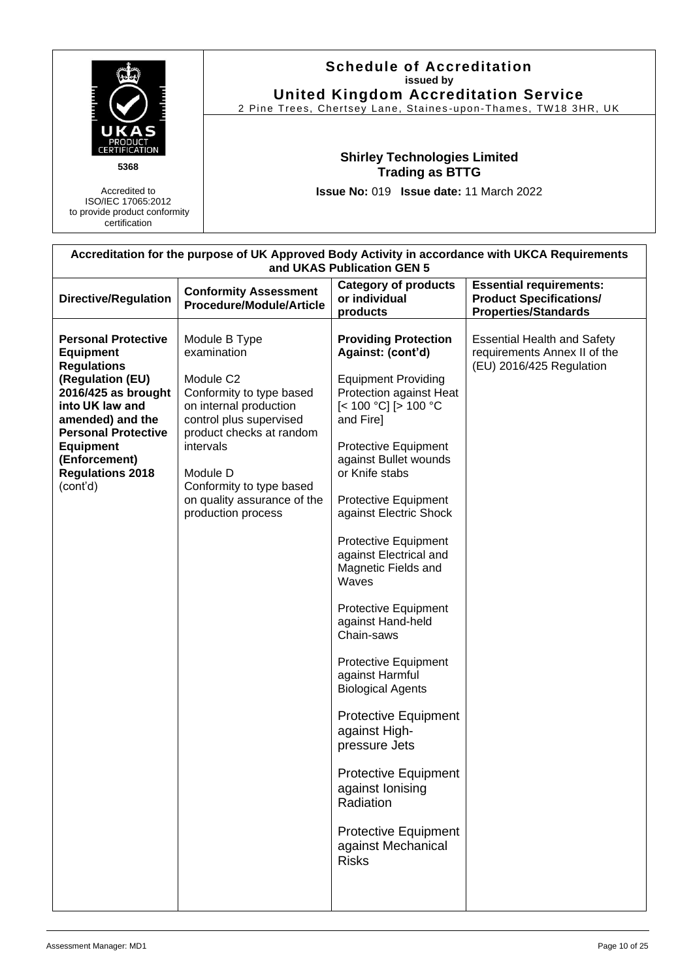|                                                                                                                                                                                                                                                                  |                                                                                                                                                                                                                                                                              | <b>Schedule of Accreditation</b><br>issued by<br><b>United Kingdom Accreditation Service</b>                                                                                                                                                                                                                                                                                                                                                                                                                                                                                                                                                                                                                                  |                                                                                                 |  |
|------------------------------------------------------------------------------------------------------------------------------------------------------------------------------------------------------------------------------------------------------------------|------------------------------------------------------------------------------------------------------------------------------------------------------------------------------------------------------------------------------------------------------------------------------|-------------------------------------------------------------------------------------------------------------------------------------------------------------------------------------------------------------------------------------------------------------------------------------------------------------------------------------------------------------------------------------------------------------------------------------------------------------------------------------------------------------------------------------------------------------------------------------------------------------------------------------------------------------------------------------------------------------------------------|-------------------------------------------------------------------------------------------------|--|
| <b>PRODUCT</b><br>5368<br>Accredited to<br>ISO/IEC 17065:2012<br>to provide product conformity<br>certification                                                                                                                                                  |                                                                                                                                                                                                                                                                              | 2 Pine Trees, Chertsey Lane, Staines-upon-Thames, TW18 3HR, UK<br><b>Shirley Technologies Limited</b><br><b>Trading as BTTG</b><br>Issue No: 019 Issue date: 11 March 2022                                                                                                                                                                                                                                                                                                                                                                                                                                                                                                                                                    |                                                                                                 |  |
|                                                                                                                                                                                                                                                                  |                                                                                                                                                                                                                                                                              | and UKAS Publication GEN 5                                                                                                                                                                                                                                                                                                                                                                                                                                                                                                                                                                                                                                                                                                    | Accreditation for the purpose of UK Approved Body Activity in accordance with UKCA Requirements |  |
| <b>Directive/Regulation</b>                                                                                                                                                                                                                                      | <b>Conformity Assessment</b><br>Procedure/Module/Article                                                                                                                                                                                                                     | <b>Category of products</b><br>or individual<br>products                                                                                                                                                                                                                                                                                                                                                                                                                                                                                                                                                                                                                                                                      | <b>Essential requirements:</b><br><b>Product Specifications/</b><br><b>Properties/Standards</b> |  |
| <b>Personal Protective</b><br><b>Equipment</b><br><b>Regulations</b><br>(Regulation (EU)<br>2016/425 as brought<br>into UK law and<br>amended) and the<br><b>Personal Protective</b><br><b>Equipment</b><br>(Enforcement)<br><b>Regulations 2018</b><br>(cont'd) | Module B Type<br>examination<br>Module C <sub>2</sub><br>Conformity to type based<br>on internal production<br>control plus supervised<br>product checks at random<br>intervals<br>Module D<br>Conformity to type based<br>on quality assurance of the<br>production process | <b>Providing Protection</b><br>Against: (cont'd)<br><b>Equipment Providing</b><br>Protection against Heat<br>$\left[$ < 100 °C $\right]$ $\left[$ > 100 °C<br>and Fire]<br>Protective Equipment<br>against Bullet wounds<br>or Knife stabs<br>Protective Equipment<br>against Electric Shock<br>Protective Equipment<br>against Electrical and<br>Magnetic Fields and<br>Waves<br><b>Protective Equipment</b><br>against Hand-held<br>Chain-saws<br>Protective Equipment<br>against Harmful<br><b>Biological Agents</b><br><b>Protective Equipment</b><br>against High-<br>pressure Jets<br><b>Protective Equipment</b><br>against lonising<br>Radiation<br><b>Protective Equipment</b><br>against Mechanical<br><b>Risks</b> | <b>Essential Health and Safety</b><br>requirements Annex II of the<br>(EU) 2016/425 Regulation  |  |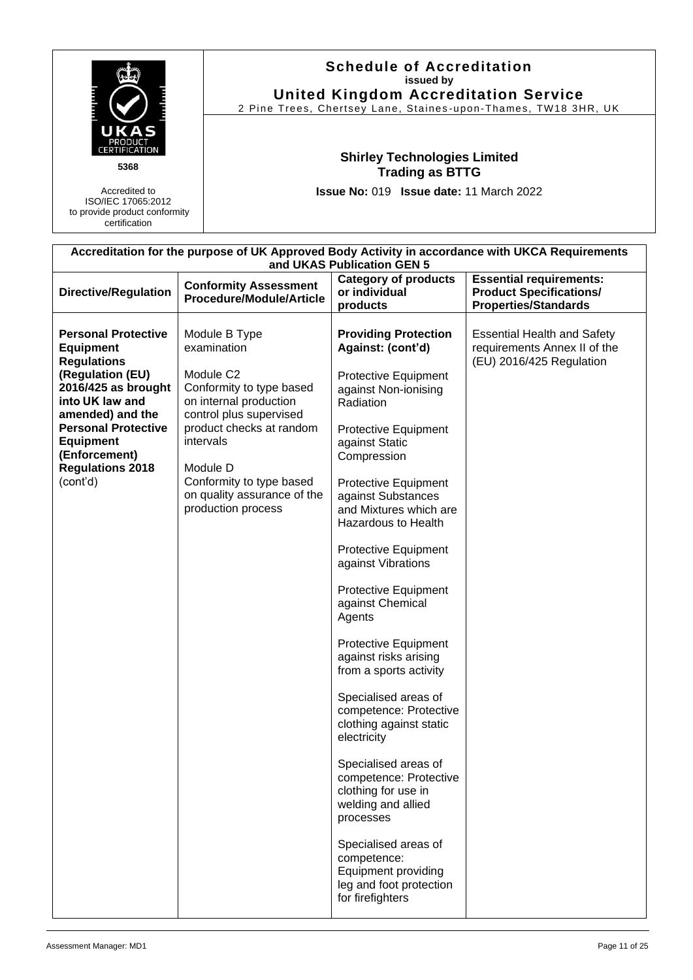|                                                                                                                                                                                                                                                                  |                                                                                                                                                                                                                                                                              | <b>Schedule of Accreditation</b><br>issued by<br><b>United Kingdom Accreditation Service</b><br>2 Pine Trees, Chertsey Lane, Staines-upon-Thames, TW18 3HR, UK                                                                                                                                                                                                                                                                                                                                                                                                                                                                                                                                                                                                                          |                                                                                                 |  |
|------------------------------------------------------------------------------------------------------------------------------------------------------------------------------------------------------------------------------------------------------------------|------------------------------------------------------------------------------------------------------------------------------------------------------------------------------------------------------------------------------------------------------------------------------|-----------------------------------------------------------------------------------------------------------------------------------------------------------------------------------------------------------------------------------------------------------------------------------------------------------------------------------------------------------------------------------------------------------------------------------------------------------------------------------------------------------------------------------------------------------------------------------------------------------------------------------------------------------------------------------------------------------------------------------------------------------------------------------------|-------------------------------------------------------------------------------------------------|--|
| <b>PRODUCT</b><br>ERTIFICATION<br>5368<br>Accredited to<br>ISO/IEC 17065:2012<br>to provide product conformity<br>certification                                                                                                                                  |                                                                                                                                                                                                                                                                              | <b>Shirley Technologies Limited</b><br><b>Trading as BTTG</b><br>Issue No: 019 Issue date: 11 March 2022                                                                                                                                                                                                                                                                                                                                                                                                                                                                                                                                                                                                                                                                                |                                                                                                 |  |
|                                                                                                                                                                                                                                                                  |                                                                                                                                                                                                                                                                              | and UKAS Publication GEN 5                                                                                                                                                                                                                                                                                                                                                                                                                                                                                                                                                                                                                                                                                                                                                              | Accreditation for the purpose of UK Approved Body Activity in accordance with UKCA Requirements |  |
| <b>Directive/Regulation</b>                                                                                                                                                                                                                                      | <b>Conformity Assessment</b><br>Procedure/Module/Article                                                                                                                                                                                                                     | <b>Category of products</b><br>or individual<br>products                                                                                                                                                                                                                                                                                                                                                                                                                                                                                                                                                                                                                                                                                                                                | <b>Essential requirements:</b><br><b>Product Specifications/</b><br><b>Properties/Standards</b> |  |
| <b>Personal Protective</b><br><b>Equipment</b><br><b>Regulations</b><br>(Regulation (EU)<br>2016/425 as brought<br>into UK law and<br>amended) and the<br><b>Personal Protective</b><br><b>Equipment</b><br>(Enforcement)<br><b>Regulations 2018</b><br>(cont'd) | Module B Type<br>examination<br>Module C <sub>2</sub><br>Conformity to type based<br>on internal production<br>control plus supervised<br>product checks at random<br>intervals<br>Module D<br>Conformity to type based<br>on quality assurance of the<br>production process | <b>Providing Protection</b><br>Against: (cont'd)<br>Protective Equipment<br>against Non-ionising<br>Radiation<br>Protective Equipment<br>against Static<br>Compression<br>Protective Equipment<br>against Substances<br>and Mixtures which are<br><b>Hazardous to Health</b><br><b>Protective Equipment</b><br>against Vibrations<br>Protective Equipment<br>against Chemical<br>Agents<br>Protective Equipment<br>against risks arising<br>from a sports activity<br>Specialised areas of<br>competence: Protective<br>clothing against static<br>electricity<br>Specialised areas of<br>competence: Protective<br>clothing for use in<br>welding and allied<br>processes<br>Specialised areas of<br>competence:<br>Equipment providing<br>leg and foot protection<br>for firefighters | <b>Essential Health and Safety</b><br>requirements Annex II of the<br>(EU) 2016/425 Regulation  |  |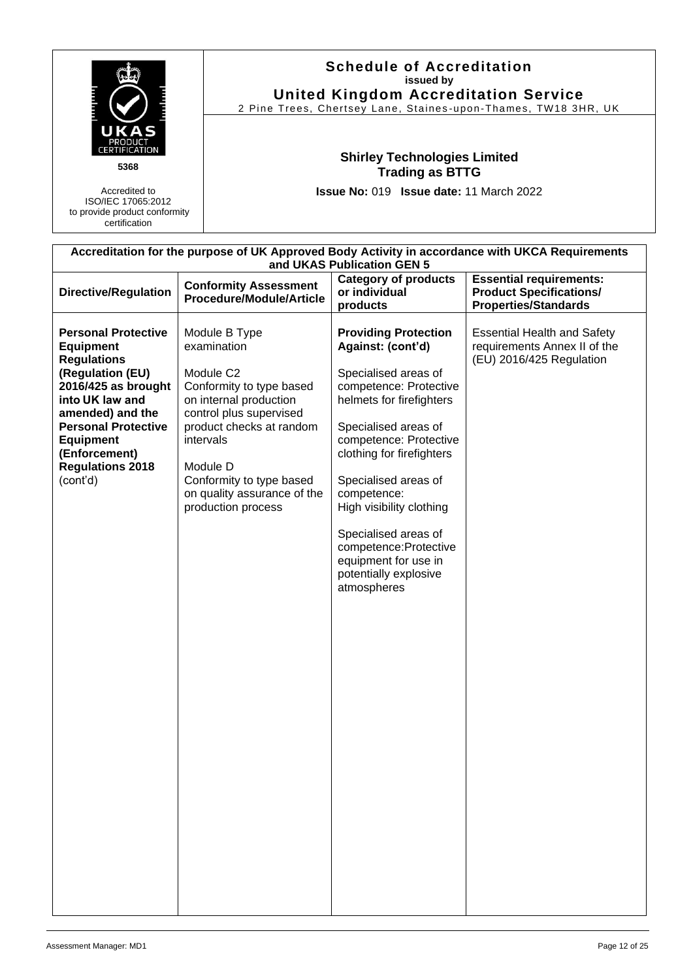| PRODUCT<br>5368<br>Accredited to<br>ISO/IEC 17065:2012<br>to provide product conformity<br>certification                                                                                                                                                         |  | <b>Schedule of Accreditation</b><br>issued by<br><b>United Kingdom Accreditation Service</b><br>2 Pine Trees, Chertsey Lane, Staines-upon-Thames, TW18 3HR, UK                                                                                                               |                                                                                                                                                                                                                                                                                                                                                                                                   |                                                                                                 |
|------------------------------------------------------------------------------------------------------------------------------------------------------------------------------------------------------------------------------------------------------------------|--|------------------------------------------------------------------------------------------------------------------------------------------------------------------------------------------------------------------------------------------------------------------------------|---------------------------------------------------------------------------------------------------------------------------------------------------------------------------------------------------------------------------------------------------------------------------------------------------------------------------------------------------------------------------------------------------|-------------------------------------------------------------------------------------------------|
|                                                                                                                                                                                                                                                                  |  |                                                                                                                                                                                                                                                                              | <b>Shirley Technologies Limited</b><br><b>Trading as BTTG</b><br>Issue No: 019 Issue date: 11 March 2022                                                                                                                                                                                                                                                                                          |                                                                                                 |
|                                                                                                                                                                                                                                                                  |  |                                                                                                                                                                                                                                                                              | and UKAS Publication GEN 5                                                                                                                                                                                                                                                                                                                                                                        | Accreditation for the purpose of UK Approved Body Activity in accordance with UKCA Requirements |
| <b>Directive/Regulation</b>                                                                                                                                                                                                                                      |  | <b>Conformity Assessment</b><br><b>Procedure/Module/Article</b>                                                                                                                                                                                                              | <b>Category of products</b><br>or individual<br>products                                                                                                                                                                                                                                                                                                                                          | <b>Essential requirements:</b><br><b>Product Specifications/</b><br><b>Properties/Standards</b> |
| <b>Personal Protective</b><br><b>Equipment</b><br><b>Regulations</b><br>(Regulation (EU)<br>2016/425 as brought<br>into UK law and<br>amended) and the<br><b>Personal Protective</b><br><b>Equipment</b><br>(Enforcement)<br><b>Regulations 2018</b><br>(cont'd) |  | Module B Type<br>examination<br>Module C <sub>2</sub><br>Conformity to type based<br>on internal production<br>control plus supervised<br>product checks at random<br>intervals<br>Module D<br>Conformity to type based<br>on quality assurance of the<br>production process | <b>Providing Protection</b><br>Against: (cont'd)<br>Specialised areas of<br>competence: Protective<br>helmets for firefighters<br>Specialised areas of<br>competence: Protective<br>clothing for firefighters<br>Specialised areas of<br>competence:<br>High visibility clothing<br>Specialised areas of<br>competence:Protective<br>equipment for use in<br>potentially explosive<br>atmospheres | <b>Essential Health and Safety</b><br>requirements Annex II of the<br>(EU) 2016/425 Regulation  |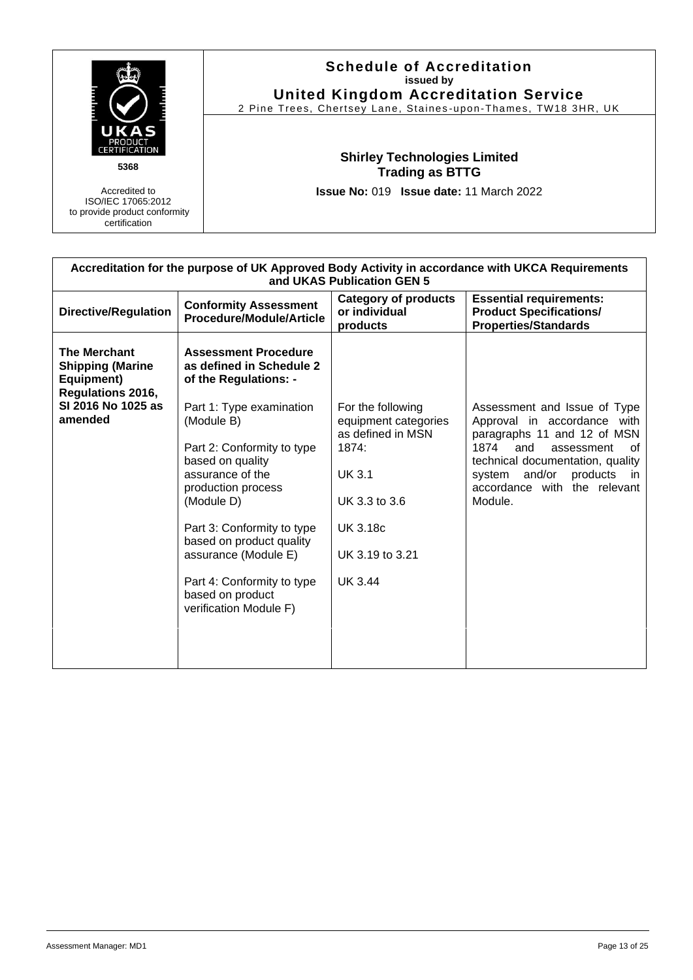

| Accreditation for the purpose of UK Approved Body Activity in accordance with UKCA Requirements<br>and UKAS Publication GEN 5 |                                                                                                                                                                                                                                                                                                                                                                                                    |                                                                                                                                                                  |                                                                                                                                                                                                                                                     |  |  |
|-------------------------------------------------------------------------------------------------------------------------------|----------------------------------------------------------------------------------------------------------------------------------------------------------------------------------------------------------------------------------------------------------------------------------------------------------------------------------------------------------------------------------------------------|------------------------------------------------------------------------------------------------------------------------------------------------------------------|-----------------------------------------------------------------------------------------------------------------------------------------------------------------------------------------------------------------------------------------------------|--|--|
| <b>Directive/Regulation</b>                                                                                                   | <b>Conformity Assessment</b><br>Procedure/Module/Article                                                                                                                                                                                                                                                                                                                                           | <b>Category of products</b><br>or individual<br>products                                                                                                         | <b>Essential requirements:</b><br><b>Product Specifications/</b><br><b>Properties/Standards</b>                                                                                                                                                     |  |  |
| <b>The Merchant</b><br><b>Shipping (Marine</b><br>Equipment)<br><b>Regulations 2016,</b><br>SI 2016 No 1025 as<br>amended     | <b>Assessment Procedure</b><br>as defined in Schedule 2<br>of the Regulations: -<br>Part 1: Type examination<br>(Module B)<br>Part 2: Conformity to type<br>based on quality<br>assurance of the<br>production process<br>(Module D)<br>Part 3: Conformity to type<br>based on product quality<br>assurance (Module E)<br>Part 4: Conformity to type<br>based on product<br>verification Module F) | For the following<br>equipment categories<br>as defined in MSN<br>1874:<br><b>UK3.1</b><br>UK 3.3 to 3.6<br><b>UK 3.18c</b><br>UK 3.19 to 3.21<br><b>UK 3.44</b> | Assessment and Issue of Type<br>Approval in accordance with<br>paragraphs 11 and 12 of MSN<br>1874<br>and<br>assessment<br>οf<br>technical documentation, quality<br>products<br>and/or<br>system<br>in.<br>accordance with the relevant<br>Module. |  |  |
|                                                                                                                               |                                                                                                                                                                                                                                                                                                                                                                                                    |                                                                                                                                                                  |                                                                                                                                                                                                                                                     |  |  |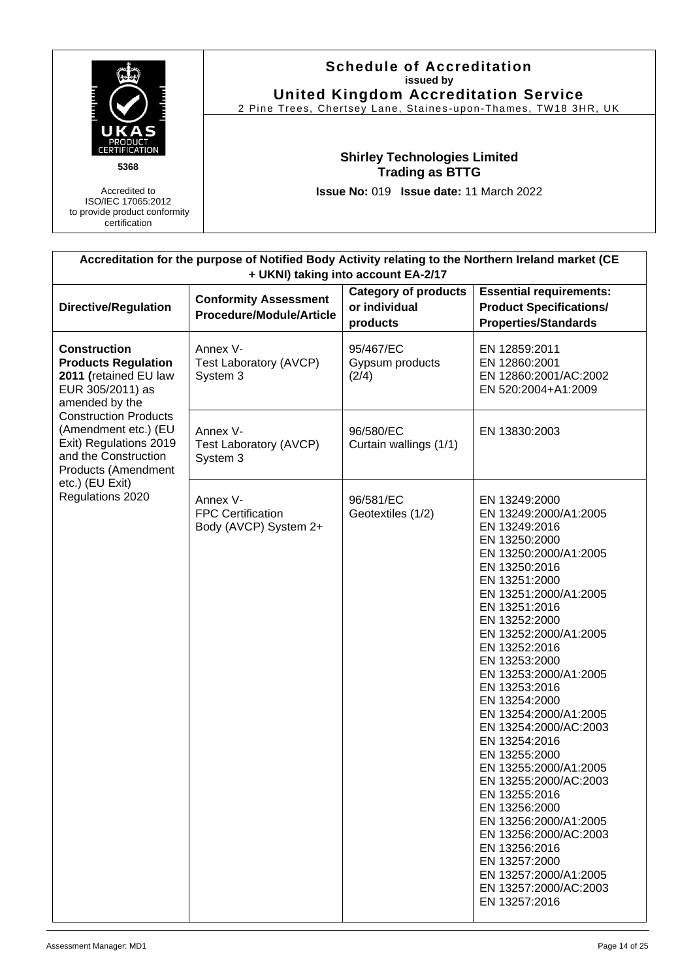

| Accreditation for the purpose of Notified Body Activity relating to the Northern Ireland market (CE<br>+ UKNI) taking into account EA-2/17                                                                                                        |                                                                 |                                                          |                                                                                                                                                                                                                                                                                                                                                                                                                                                                                                                                                                                                                                                     |  |  |  |
|---------------------------------------------------------------------------------------------------------------------------------------------------------------------------------------------------------------------------------------------------|-----------------------------------------------------------------|----------------------------------------------------------|-----------------------------------------------------------------------------------------------------------------------------------------------------------------------------------------------------------------------------------------------------------------------------------------------------------------------------------------------------------------------------------------------------------------------------------------------------------------------------------------------------------------------------------------------------------------------------------------------------------------------------------------------------|--|--|--|
| <b>Directive/Regulation</b>                                                                                                                                                                                                                       | <b>Conformity Assessment</b><br><b>Procedure/Module/Article</b> | <b>Category of products</b><br>or individual<br>products | <b>Essential requirements:</b><br><b>Product Specifications/</b><br><b>Properties/Standards</b>                                                                                                                                                                                                                                                                                                                                                                                                                                                                                                                                                     |  |  |  |
| <b>Construction</b><br><b>Products Regulation</b><br>2011 (retained EU law<br>EUR 305/2011) as<br>amended by the<br><b>Construction Products</b><br>(Amendment etc.) (EU<br>Exit) Regulations 2019<br>and the Construction<br>Products (Amendment | Annex V-<br>Test Laboratory (AVCP)<br>System 3                  | 95/467/EC<br>Gypsum products<br>(2/4)                    | EN 12859:2011<br>EN 12860:2001<br>EN 12860:2001/AC:2002<br>EN 520:2004+A1:2009                                                                                                                                                                                                                                                                                                                                                                                                                                                                                                                                                                      |  |  |  |
|                                                                                                                                                                                                                                                   | Annex V-<br>Test Laboratory (AVCP)<br>System 3                  | 96/580/EC<br>Curtain wallings (1/1)                      | EN 13830:2003                                                                                                                                                                                                                                                                                                                                                                                                                                                                                                                                                                                                                                       |  |  |  |
| etc.) (EU Exit)<br>Regulations 2020                                                                                                                                                                                                               | Annex V-<br><b>FPC Certification</b><br>Body (AVCP) System 2+   | 96/581/EC<br>Geotextiles (1/2)                           | EN 13249:2000<br>EN 13249:2000/A1:2005<br>EN 13249:2016<br>EN 13250:2000<br>EN 13250:2000/A1:2005<br>EN 13250:2016<br>EN 13251:2000<br>EN 13251:2000/A1:2005<br>EN 13251:2016<br>EN 13252:2000<br>EN 13252:2000/A1:2005<br>EN 13252:2016<br>EN 13253:2000<br>EN 13253:2000/A1:2005<br>EN 13253:2016<br>EN 13254:2000<br>EN 13254:2000/A1:2005<br>EN 13254:2000/AC:2003<br>EN 13254:2016<br>EN 13255:2000<br>EN 13255:2000/A1:2005<br>EN 13255:2000/AC:2003<br>EN 13255:2016<br>EN 13256:2000<br>EN 13256:2000/A1:2005<br>EN 13256:2000/AC:2003<br>EN 13256:2016<br>EN 13257:2000<br>EN 13257:2000/A1:2005<br>EN 13257:2000/AC:2003<br>EN 13257:2016 |  |  |  |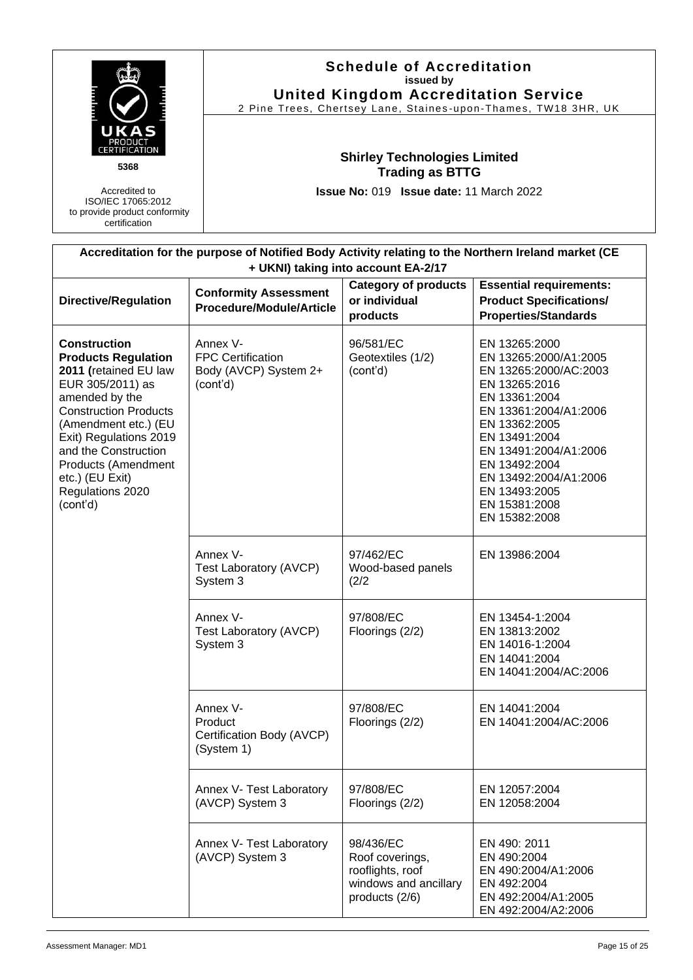|                                                                                                                                                                                                                                                                                                      |                                                                                                     | <b>Schedule of Accreditation</b><br>issued by<br><b>United Kingdom Accreditation Service</b><br>2 Pine Trees, Chertsey Lane, Staines-upon-Thames, TW18 3HR, UK |                                                                                                                                                                                                                                                                                    |  |  |
|------------------------------------------------------------------------------------------------------------------------------------------------------------------------------------------------------------------------------------------------------------------------------------------------------|-----------------------------------------------------------------------------------------------------|----------------------------------------------------------------------------------------------------------------------------------------------------------------|------------------------------------------------------------------------------------------------------------------------------------------------------------------------------------------------------------------------------------------------------------------------------------|--|--|
| 5368<br>Accredited to<br>ISO/IEC 17065:2012<br>to provide product conformity<br>certification                                                                                                                                                                                                        |                                                                                                     | <b>Shirley Technologies Limited</b><br>Trading as BTTG<br>Issue No: 019 Issue date: 11 March 2022                                                              |                                                                                                                                                                                                                                                                                    |  |  |
|                                                                                                                                                                                                                                                                                                      | Accreditation for the purpose of Notified Body Activity relating to the Northern Ireland market (CE | + UKNI) taking into account EA-2/17                                                                                                                            |                                                                                                                                                                                                                                                                                    |  |  |
| <b>Directive/Regulation</b>                                                                                                                                                                                                                                                                          | <b>Conformity Assessment</b><br><b>Procedure/Module/Article</b>                                     | <b>Category of products</b><br>or individual<br>products                                                                                                       | <b>Essential requirements:</b><br><b>Product Specifications/</b><br><b>Properties/Standards</b>                                                                                                                                                                                    |  |  |
| <b>Construction</b><br><b>Products Regulation</b><br>2011 (retained EU law<br>EUR 305/2011) as<br>amended by the<br><b>Construction Products</b><br>(Amendment etc.) (EU<br>Exit) Regulations 2019<br>and the Construction<br>Products (Amendment<br>etc.) (EU Exit)<br>Regulations 2020<br>(cont'd) | Annex V-<br><b>FPC Certification</b><br>Body (AVCP) System 2+<br>(cont'd)                           | 96/581/EC<br>Geotextiles (1/2)<br>(cont'd)                                                                                                                     | EN 13265:2000<br>EN 13265:2000/A1:2005<br>EN 13265:2000/AC:2003<br>EN 13265:2016<br>EN 13361:2004<br>EN 13361:2004/A1:2006<br>EN 13362:2005<br>EN 13491:2004<br>EN 13491:2004/A1:2006<br>EN 13492:2004<br>EN 13492:2004/A1:2006<br>EN 13493:2005<br>EN 15381:2008<br>EN 15382:2008 |  |  |
|                                                                                                                                                                                                                                                                                                      | Annex V-<br>Test Laboratory (AVCP)<br>System 3                                                      | 97/462/EC<br>Wood-based panels<br>(2/2)                                                                                                                        | EN 13986:2004                                                                                                                                                                                                                                                                      |  |  |
|                                                                                                                                                                                                                                                                                                      | Annex V-<br>Test Laboratory (AVCP)<br>System 3                                                      | 97/808/EC<br>Floorings (2/2)                                                                                                                                   | EN 13454-1:2004<br>EN 13813:2002<br>EN 14016-1:2004<br>EN 14041:2004<br>EN 14041:2004/AC:2006                                                                                                                                                                                      |  |  |
|                                                                                                                                                                                                                                                                                                      | Annex V-<br>Product<br>Certification Body (AVCP)<br>(System 1)                                      | 97/808/EC<br>Floorings (2/2)                                                                                                                                   | EN 14041:2004<br>EN 14041:2004/AC:2006                                                                                                                                                                                                                                             |  |  |
|                                                                                                                                                                                                                                                                                                      | Annex V- Test Laboratory<br>(AVCP) System 3                                                         | 97/808/EC<br>Floorings (2/2)                                                                                                                                   | EN 12057:2004<br>EN 12058:2004                                                                                                                                                                                                                                                     |  |  |
|                                                                                                                                                                                                                                                                                                      | Annex V- Test Laboratory<br>(AVCP) System 3                                                         | 98/436/EC<br>Roof coverings,<br>rooflights, roof<br>windows and ancillary<br>products (2/6)                                                                    | EN 490: 2011<br>EN 490:2004<br>EN 490:2004/A1:2006<br>EN 492:2004<br>EN 492:2004/A1:2005<br>EN 492:2004/A2:2006                                                                                                                                                                    |  |  |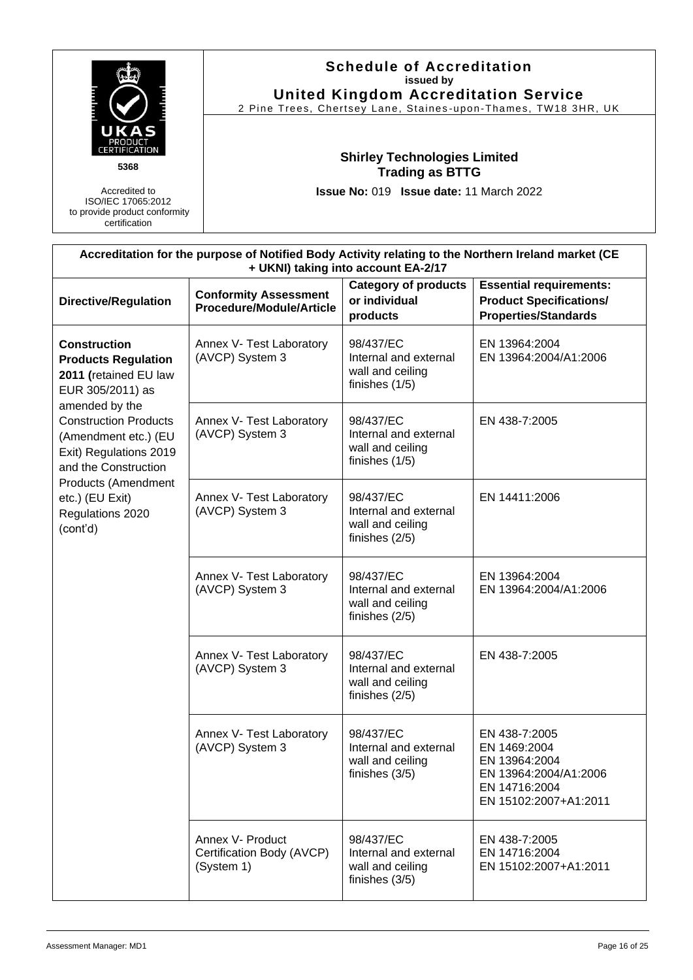|                                                                                                                                                                                                                            |                                                                                                     | <b>Schedule of Accreditation</b><br>issued by<br><b>United Kingdom Accreditation Service</b><br>2 Pine Trees, Chertsey Lane, Staines-upon-Thames, TW18 3HR, UK |                                                                                                                   |  |  |
|----------------------------------------------------------------------------------------------------------------------------------------------------------------------------------------------------------------------------|-----------------------------------------------------------------------------------------------------|----------------------------------------------------------------------------------------------------------------------------------------------------------------|-------------------------------------------------------------------------------------------------------------------|--|--|
| 5368<br>Accredited to<br>ISO/IEC 17065:2012<br>to provide product conformity<br>certification                                                                                                                              |                                                                                                     | <b>Shirley Technologies Limited</b><br><b>Trading as BTTG</b><br>Issue No: 019 Issue date: 11 March 2022                                                       |                                                                                                                   |  |  |
|                                                                                                                                                                                                                            | Accreditation for the purpose of Notified Body Activity relating to the Northern Ireland market (CE | + UKNI) taking into account EA-2/17                                                                                                                            |                                                                                                                   |  |  |
| <b>Directive/Regulation</b>                                                                                                                                                                                                | <b>Conformity Assessment</b><br>Procedure/Module/Article                                            | <b>Category of products</b><br>or individual<br>products                                                                                                       | <b>Essential requirements:</b><br><b>Product Specifications/</b><br><b>Properties/Standards</b>                   |  |  |
| <b>Construction</b><br><b>Products Regulation</b><br>2011 (retained EU law<br>EUR 305/2011) as<br>amended by the<br><b>Construction Products</b><br>(Amendment etc.) (EU<br>Exit) Regulations 2019<br>and the Construction | Annex V- Test Laboratory<br>(AVCP) System 3                                                         | 98/437/EC<br>Internal and external<br>wall and ceiling<br>finishes (1/5)                                                                                       | EN 13964:2004<br>EN 13964:2004/A1:2006                                                                            |  |  |
|                                                                                                                                                                                                                            | Annex V- Test Laboratory<br>(AVCP) System 3                                                         | 98/437/EC<br>Internal and external<br>wall and ceiling<br>finishes (1/5)                                                                                       | EN 438-7:2005                                                                                                     |  |  |
| Products (Amendment<br>etc.) (EU Exit)<br>Regulations 2020<br>(cont'd)                                                                                                                                                     | Annex V- Test Laboratory<br>(AVCP) System 3                                                         | 98/437/EC<br>Internal and external<br>wall and ceiling<br>finishes (2/5)                                                                                       | EN 14411:2006                                                                                                     |  |  |
|                                                                                                                                                                                                                            | Annex V- Test Laboratory<br>(AVCP) System 3                                                         | 98/437/EC<br>Internal and external<br>wall and ceiling<br>finishes $(2/5)$                                                                                     | EN 13964:2004<br>EN 13964:2004/A1:2006                                                                            |  |  |
|                                                                                                                                                                                                                            | Annex V- Test Laboratory<br>(AVCP) System 3                                                         | 98/437/EC<br>Internal and external<br>wall and ceiling<br>finishes $(2/5)$                                                                                     | EN 438-7:2005                                                                                                     |  |  |
|                                                                                                                                                                                                                            | Annex V- Test Laboratory<br>(AVCP) System 3                                                         | 98/437/EC<br>Internal and external<br>wall and ceiling<br>finishes (3/5)                                                                                       | EN 438-7:2005<br>EN 1469:2004<br>EN 13964:2004<br>EN 13964:2004/A1:2006<br>EN 14716:2004<br>EN 15102:2007+A1:2011 |  |  |
|                                                                                                                                                                                                                            | Annex V- Product<br>Certification Body (AVCP)<br>(System 1)                                         | 98/437/EC<br>Internal and external<br>wall and ceiling<br>finishes (3/5)                                                                                       | EN 438-7:2005<br>EN 14716:2004<br>EN 15102:2007+A1:2011                                                           |  |  |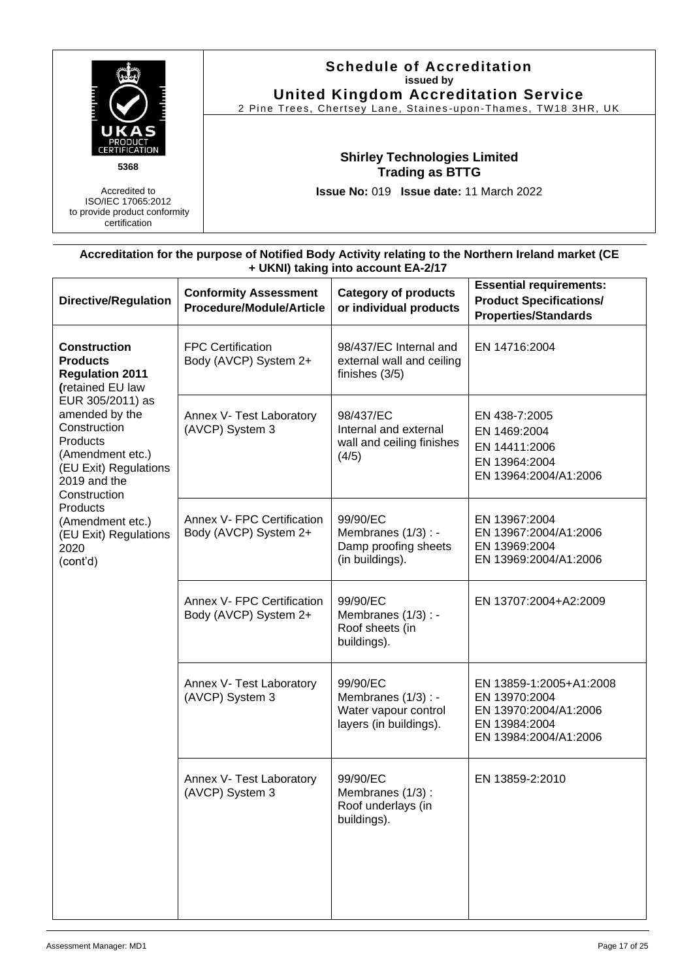

| Accreditation for the purpose of Notified Body Activity relating to the Northern Ireland market (CE |
|-----------------------------------------------------------------------------------------------------|
| + UKNI) taking into account EA-2/17                                                                 |

| <b>Directive/Regulation</b>                                                                                                                                                                                                                                                                                      | <b>Conformity Assessment</b><br><b>Category of products</b><br>Procedure/Module/Article<br>or individual products |                                                                                   | <b>Essential requirements:</b><br><b>Product Specifications/</b><br><b>Properties/Standards</b>             |
|------------------------------------------------------------------------------------------------------------------------------------------------------------------------------------------------------------------------------------------------------------------------------------------------------------------|-------------------------------------------------------------------------------------------------------------------|-----------------------------------------------------------------------------------|-------------------------------------------------------------------------------------------------------------|
| <b>Construction</b><br><b>Products</b><br><b>Regulation 2011</b><br>(retained EU law<br>EUR 305/2011) as<br>amended by the<br>Construction<br>Products<br>(Amendment etc.)<br>(EU Exit) Regulations<br>2019 and the<br>Construction<br>Products<br>(Amendment etc.)<br>(EU Exit) Regulations<br>2020<br>(cont'd) | <b>FPC Certification</b><br>Body (AVCP) System 2+                                                                 | 98/437/EC Internal and<br>external wall and ceiling<br>finishes (3/5)             | EN 14716:2004                                                                                               |
|                                                                                                                                                                                                                                                                                                                  | Annex V- Test Laboratory<br>(AVCP) System 3                                                                       | 98/437/EC<br>Internal and external<br>wall and ceiling finishes<br>(4/5)          | EN 438-7:2005<br>EN 1469:2004<br>EN 14411:2006<br>EN 13964:2004<br>EN 13964:2004/A1:2006                    |
|                                                                                                                                                                                                                                                                                                                  | Annex V- FPC Certification<br>Body (AVCP) System 2+                                                               | 99/90/EC<br>Membranes (1/3) : -<br>Damp proofing sheets<br>(in buildings).        | EN 13967:2004<br>EN 13967:2004/A1:2006<br>EN 13969:2004<br>EN 13969:2004/A1:2006                            |
|                                                                                                                                                                                                                                                                                                                  | Annex V- FPC Certification<br>Body (AVCP) System 2+                                                               | 99/90/EC<br>Membranes (1/3) : -<br>Roof sheets (in<br>buildings).                 | EN 13707:2004+A2:2009                                                                                       |
|                                                                                                                                                                                                                                                                                                                  | Annex V- Test Laboratory<br>(AVCP) System 3                                                                       | 99/90/EC<br>Membranes (1/3) : -<br>Water vapour control<br>layers (in buildings). | EN 13859-1:2005+A1:2008<br>EN 13970:2004<br>EN 13970:2004/A1:2006<br>EN 13984:2004<br>EN 13984:2004/A1:2006 |
|                                                                                                                                                                                                                                                                                                                  | Annex V- Test Laboratory<br>(AVCP) System 3                                                                       | 99/90/EC<br>Membranes (1/3):<br>Roof underlays (in<br>buildings).                 | EN 13859-2:2010                                                                                             |
|                                                                                                                                                                                                                                                                                                                  |                                                                                                                   |                                                                                   |                                                                                                             |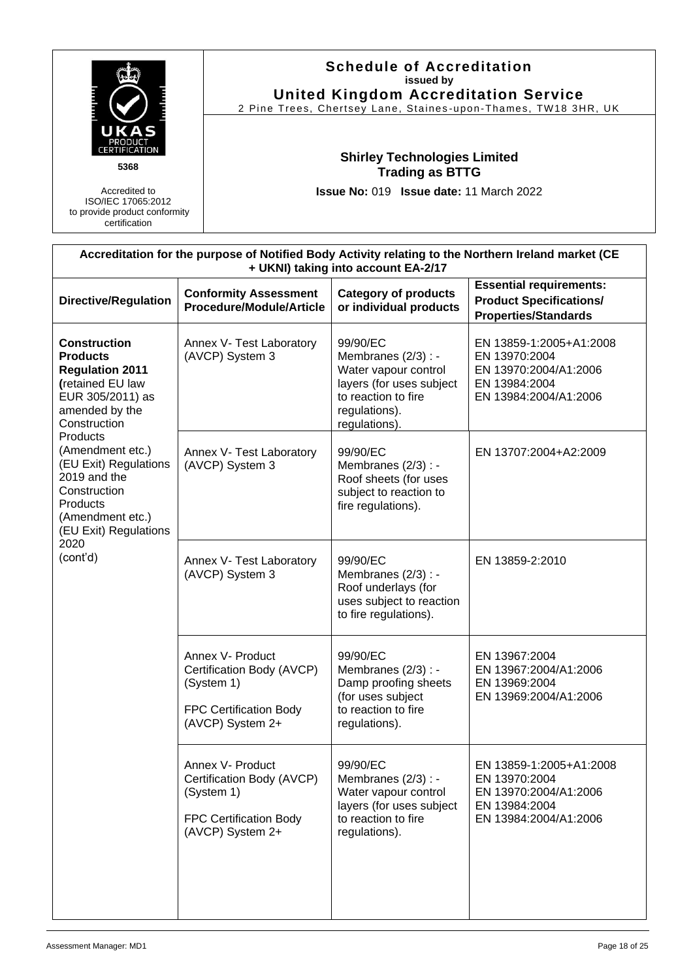| PRODUC<br><b>FICATION</b><br>5368                                                                                                                                                                                                                                                                                |                                             | <b>Schedule of Accreditation</b><br>issued by<br><b>United Kingdom Accreditation Service</b><br>2 Pine Trees, Chertsey Lane, Staines-upon-Thames, TW18 3HR, UK |                                                                                                                                              |                                                                                                             |  |  |
|------------------------------------------------------------------------------------------------------------------------------------------------------------------------------------------------------------------------------------------------------------------------------------------------------------------|---------------------------------------------|----------------------------------------------------------------------------------------------------------------------------------------------------------------|----------------------------------------------------------------------------------------------------------------------------------------------|-------------------------------------------------------------------------------------------------------------|--|--|
|                                                                                                                                                                                                                                                                                                                  |                                             | <b>Shirley Technologies Limited</b><br><b>Trading as BTTG</b>                                                                                                  |                                                                                                                                              |                                                                                                             |  |  |
| Accredited to<br>ISO/IEC 17065:2012<br>to provide product conformity<br>certification                                                                                                                                                                                                                            |                                             |                                                                                                                                                                | Issue No: 019 Issue date: 11 March 2022                                                                                                      |                                                                                                             |  |  |
|                                                                                                                                                                                                                                                                                                                  |                                             |                                                                                                                                                                | + UKNI) taking into account EA-2/17                                                                                                          | Accreditation for the purpose of Notified Body Activity relating to the Northern Ireland market (CE         |  |  |
| <b>Directive/Regulation</b>                                                                                                                                                                                                                                                                                      |                                             | <b>Conformity Assessment</b><br><b>Procedure/Module/Article</b>                                                                                                | <b>Category of products</b><br>or individual products                                                                                        | <b>Essential requirements:</b><br><b>Product Specifications/</b><br><b>Properties/Standards</b>             |  |  |
| <b>Construction</b><br><b>Products</b><br><b>Regulation 2011</b><br>(retained EU law<br>EUR 305/2011) as<br>amended by the<br>Construction<br>Products<br>(Amendment etc.)<br>(EU Exit) Regulations<br>2019 and the<br>Construction<br>Products<br>(Amendment etc.)<br>(EU Exit) Regulations<br>2020<br>(cont'd) | Annex V- Test Laboratory<br>(AVCP) System 3 |                                                                                                                                                                | 99/90/EC<br>Membranes (2/3) : -<br>Water vapour control<br>layers (for uses subject<br>to reaction to fire<br>regulations).<br>regulations). | EN 13859-1:2005+A1:2008<br>EN 13970:2004<br>EN 13970:2004/A1:2006<br>EN 13984:2004<br>EN 13984:2004/A1:2006 |  |  |
|                                                                                                                                                                                                                                                                                                                  |                                             | Annex V- Test Laboratory<br>(AVCP) System 3                                                                                                                    | 99/90/EC<br>Membranes (2/3) : -<br>Roof sheets (for uses<br>subject to reaction to<br>fire regulations).                                     | EN 13707:2004+A2:2009                                                                                       |  |  |
|                                                                                                                                                                                                                                                                                                                  |                                             | Annex V- Test Laboratory<br>(AVCP) System 3                                                                                                                    | 99/90/EC<br>Membranes (2/3) : -<br>Roof underlays (for<br>uses subject to reaction<br>to fire regulations).                                  | EN 13859-2:2010                                                                                             |  |  |
|                                                                                                                                                                                                                                                                                                                  |                                             | Annex V- Product<br>Certification Body (AVCP)<br>(System 1)<br>FPC Certification Body<br>(AVCP) System 2+                                                      | 99/90/EC<br>Membranes $(2/3)$ : -<br>Damp proofing sheets<br>(for uses subject<br>to reaction to fire<br>regulations).                       | EN 13967:2004<br>EN 13967:2004/A1:2006<br>EN 13969:2004<br>EN 13969:2004/A1:2006                            |  |  |
|                                                                                                                                                                                                                                                                                                                  |                                             | Annex V- Product<br>Certification Body (AVCP)<br>(System 1)<br>FPC Certification Body<br>(AVCP) System 2+                                                      | 99/90/EC<br>Membranes (2/3) : -<br>Water vapour control<br>layers (for uses subject<br>to reaction to fire<br>regulations).                  | EN 13859-1:2005+A1:2008<br>EN 13970:2004<br>EN 13970:2004/A1:2006<br>EN 13984:2004<br>EN 13984:2004/A1:2006 |  |  |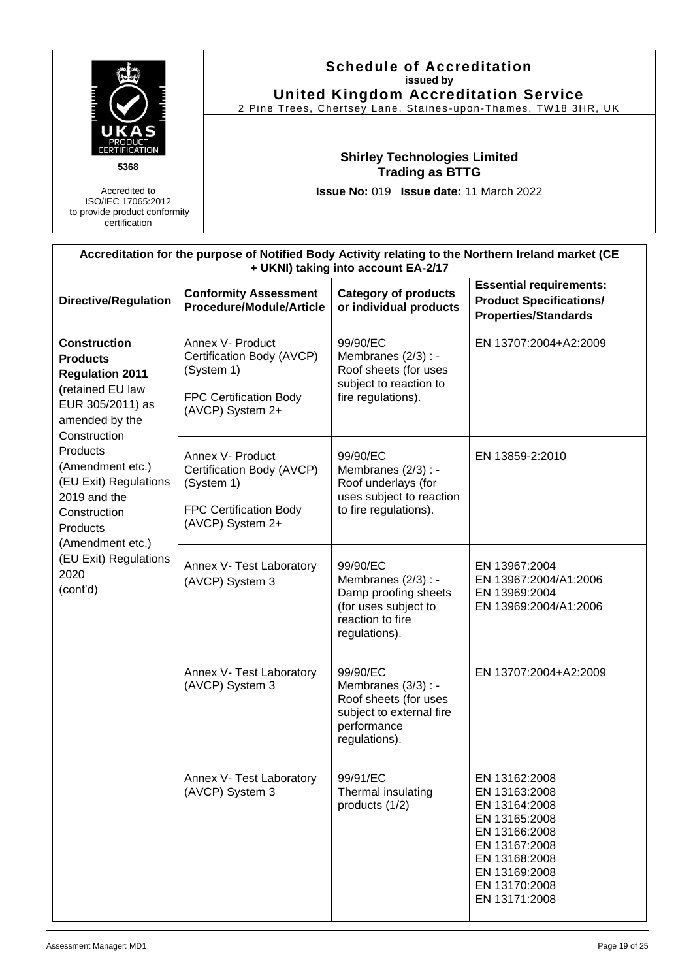| 5368                                                                                                                                                                                                                                                                                                             |  |                                                                                                                  | <b>Schedule of Accreditation</b><br>issued by<br><b>United Kingdom Accreditation Service</b>                         | 2 Pine Trees, Chertsey Lane, Staines-upon-Thames, TW18 3HR, UK                                                                                                         |
|------------------------------------------------------------------------------------------------------------------------------------------------------------------------------------------------------------------------------------------------------------------------------------------------------------------|--|------------------------------------------------------------------------------------------------------------------|----------------------------------------------------------------------------------------------------------------------|------------------------------------------------------------------------------------------------------------------------------------------------------------------------|
|                                                                                                                                                                                                                                                                                                                  |  | <b>Shirley Technologies Limited</b><br><b>Trading as BTTG</b>                                                    |                                                                                                                      |                                                                                                                                                                        |
| Accredited to<br>ISO/IEC 17065:2012<br>to provide product conformity<br>certification                                                                                                                                                                                                                            |  |                                                                                                                  | Issue No: 019 Issue date: 11 March 2022                                                                              |                                                                                                                                                                        |
|                                                                                                                                                                                                                                                                                                                  |  |                                                                                                                  | + UKNI) taking into account EA-2/17                                                                                  | Accreditation for the purpose of Notified Body Activity relating to the Northern Ireland market (CE                                                                    |
| <b>Directive/Regulation</b>                                                                                                                                                                                                                                                                                      |  | <b>Conformity Assessment</b><br><b>Procedure/Module/Article</b>                                                  | <b>Category of products</b><br>or individual products                                                                | <b>Essential requirements:</b><br><b>Product Specifications/</b><br><b>Properties/Standards</b>                                                                        |
| <b>Construction</b><br><b>Products</b><br><b>Regulation 2011</b><br>(retained EU law<br>EUR 305/2011) as<br>amended by the<br>Construction<br>Products<br>(Amendment etc.)<br>(EU Exit) Regulations<br>2019 and the<br>Construction<br>Products<br>(Amendment etc.)<br>(EU Exit) Regulations<br>2020<br>(cont'd) |  | Annex V- Product<br>Certification Body (AVCP)<br>(System 1)<br>FPC Certification Body<br>(AVCP) System 2+        | 99/90/EC<br>Membranes (2/3) : -<br>Roof sheets (for uses<br>subject to reaction to<br>fire regulations).             | EN 13707:2004+A2:2009                                                                                                                                                  |
|                                                                                                                                                                                                                                                                                                                  |  | Annex V- Product<br>Certification Body (AVCP)<br>(System 1)<br><b>FPC Certification Body</b><br>(AVCP) System 2+ | 99/90/EC<br>Membranes (2/3) : -<br>Roof underlays (for<br>uses subject to reaction<br>to fire regulations).          | EN 13859-2:2010                                                                                                                                                        |
|                                                                                                                                                                                                                                                                                                                  |  | Annex V- Test Laboratory<br>(AVCP) System 3                                                                      | 99/90/EC<br>Membranes (2/3) : -<br>Damp proofing sheets<br>(for uses subject to<br>reaction to fire<br>regulations). | EN 13967:2004<br>EN 13967:2004/A1:2006<br>EN 13969:2004<br>EN 13969:2004/A1:2006                                                                                       |
|                                                                                                                                                                                                                                                                                                                  |  | Annex V- Test Laboratory<br>(AVCP) System 3                                                                      | 99/90/EC<br>Membranes (3/3) : -<br>Roof sheets (for uses<br>subject to external fire<br>performance<br>regulations). | EN 13707:2004+A2:2009                                                                                                                                                  |
|                                                                                                                                                                                                                                                                                                                  |  | Annex V- Test Laboratory<br>(AVCP) System 3                                                                      | 99/91/EC<br>Thermal insulating<br>products (1/2)                                                                     | EN 13162:2008<br>EN 13163:2008<br>EN 13164:2008<br>EN 13165:2008<br>EN 13166:2008<br>EN 13167:2008<br>EN 13168:2008<br>EN 13169:2008<br>EN 13170:2008<br>EN 13171:2008 |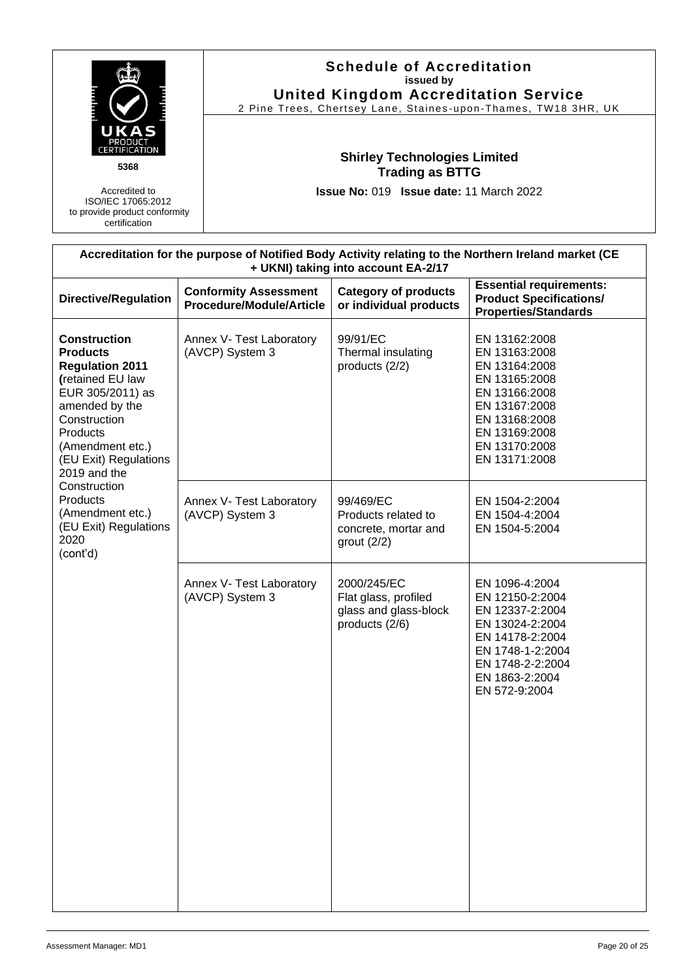| roduc<br>5368<br>Accredited to<br>ISO/IEC 17065:2012<br>to provide product conformity<br>certification                                                                                                                                                                                                           |                                                                 | <b>Schedule of Accreditation</b><br>issued by<br><b>United Kingdom Accreditation Service</b><br><b>Shirley Technologies Limited</b><br><b>Trading as BTTG</b><br>Issue No: 019 Issue date: 11 March 2022 | 2 Pine Trees, Chertsey Lane, Staines-upon-Thames, TW18 3HR, UK<br>Accreditation for the purpose of Notified Body Activity relating to the Northern Ireland market (CE  |
|------------------------------------------------------------------------------------------------------------------------------------------------------------------------------------------------------------------------------------------------------------------------------------------------------------------|-----------------------------------------------------------------|----------------------------------------------------------------------------------------------------------------------------------------------------------------------------------------------------------|------------------------------------------------------------------------------------------------------------------------------------------------------------------------|
| <b>Directive/Regulation</b>                                                                                                                                                                                                                                                                                      | <b>Conformity Assessment</b><br><b>Procedure/Module/Article</b> | + UKNI) taking into account EA-2/17<br><b>Category of products</b><br>or individual products                                                                                                             | <b>Essential requirements:</b><br><b>Product Specifications/</b><br><b>Properties/Standards</b>                                                                        |
| <b>Construction</b><br><b>Products</b><br><b>Regulation 2011</b><br>(retained EU law<br>EUR 305/2011) as<br>amended by the<br>Construction<br>Products<br>(Amendment etc.)<br>(EU Exit) Regulations<br>2019 and the<br>Construction<br>Products<br>(Amendment etc.)<br>(EU Exit) Regulations<br>2020<br>(cont'd) | Annex V- Test Laboratory<br>(AVCP) System 3                     | 99/91/EC<br>Thermal insulating<br>products (2/2)                                                                                                                                                         | EN 13162:2008<br>EN 13163:2008<br>EN 13164:2008<br>EN 13165:2008<br>EN 13166:2008<br>EN 13167:2008<br>EN 13168:2008<br>EN 13169:2008<br>EN 13170:2008<br>EN 13171:2008 |
|                                                                                                                                                                                                                                                                                                                  | Annex V- Test Laboratory<br>(AVCP) System 3                     | 99/469/EC<br>Products related to<br>concrete, mortar and<br>grout $(2/2)$                                                                                                                                | EN 1504-2:2004<br>EN 1504-4:2004<br>EN 1504-5:2004                                                                                                                     |
|                                                                                                                                                                                                                                                                                                                  | Annex V- Test Laboratory<br>(AVCP) System 3                     | 2000/245/EC<br>Flat glass, profiled<br>glass and glass-block<br>products (2/6)                                                                                                                           | EN 1096-4:2004<br>EN 12150-2:2004<br>EN 12337-2:2004<br>EN 13024-2:2004<br>EN 14178-2:2004<br>EN 1748-1-2:2004<br>EN 1748-2-2:2004<br>EN 1863-2:2004<br>EN 572-9:2004  |

 $\overline{\phantom{a}}$ 

 $\mathsf{l}$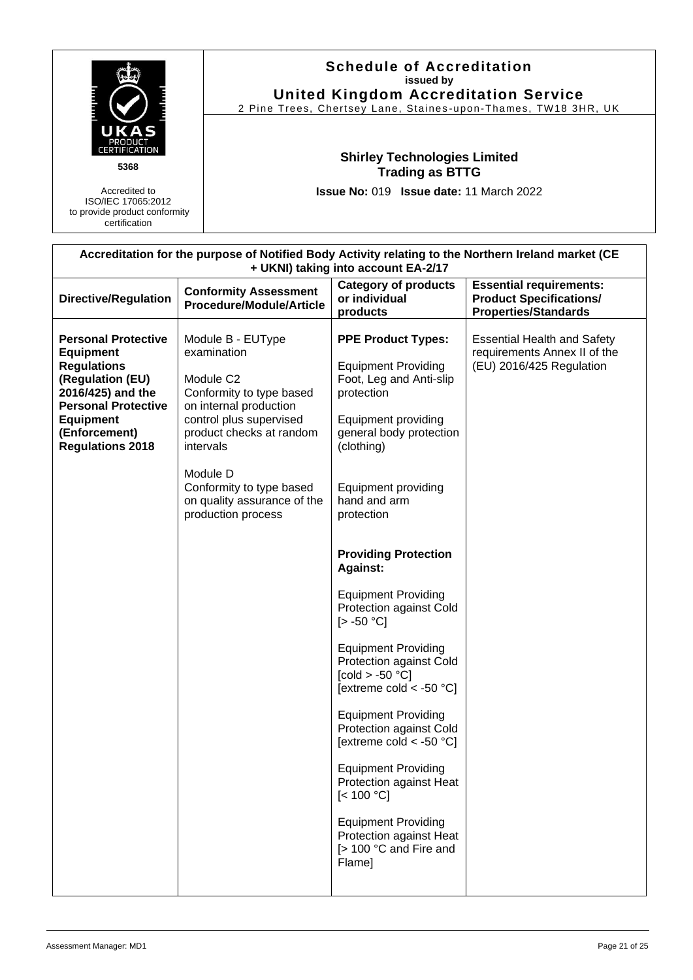| S<br>PRODUCT<br>5368<br>Accredited to<br>ISO/IEC 17065:2012<br>to provide product conformity<br>certification                                                                                               |  | <b>Schedule of Accreditation</b><br>issued by<br><b>United Kingdom Accreditation Service</b><br>2 Pine Trees, Chertsey Lane, Staines-upon-Thames, TW18 3HR, UK                                                                                                                   |                                                                                                                                                                                                                                                                                                                                                                                                                                                                                                                                                                                                                                                                                                                                                      |                                                                                                     |  |
|-------------------------------------------------------------------------------------------------------------------------------------------------------------------------------------------------------------|--|----------------------------------------------------------------------------------------------------------------------------------------------------------------------------------------------------------------------------------------------------------------------------------|------------------------------------------------------------------------------------------------------------------------------------------------------------------------------------------------------------------------------------------------------------------------------------------------------------------------------------------------------------------------------------------------------------------------------------------------------------------------------------------------------------------------------------------------------------------------------------------------------------------------------------------------------------------------------------------------------------------------------------------------------|-----------------------------------------------------------------------------------------------------|--|
|                                                                                                                                                                                                             |  | <b>Shirley Technologies Limited</b><br><b>Trading as BTTG</b><br>Issue No: 019 Issue date: 11 March 2022                                                                                                                                                                         |                                                                                                                                                                                                                                                                                                                                                                                                                                                                                                                                                                                                                                                                                                                                                      |                                                                                                     |  |
|                                                                                                                                                                                                             |  |                                                                                                                                                                                                                                                                                  | + UKNI) taking into account EA-2/17                                                                                                                                                                                                                                                                                                                                                                                                                                                                                                                                                                                                                                                                                                                  | Accreditation for the purpose of Notified Body Activity relating to the Northern Ireland market (CE |  |
| <b>Directive/Regulation</b>                                                                                                                                                                                 |  | <b>Conformity Assessment</b><br>Procedure/Module/Article                                                                                                                                                                                                                         | <b>Category of products</b><br>or individual<br>products                                                                                                                                                                                                                                                                                                                                                                                                                                                                                                                                                                                                                                                                                             | <b>Essential requirements:</b><br><b>Product Specifications/</b><br><b>Properties/Standards</b>     |  |
| <b>Personal Protective</b><br><b>Equipment</b><br><b>Regulations</b><br>(Regulation (EU)<br>2016/425) and the<br><b>Personal Protective</b><br><b>Equipment</b><br>(Enforcement)<br><b>Regulations 2018</b> |  | Module B - EUType<br>examination<br>Module C <sub>2</sub><br>Conformity to type based<br>on internal production<br>control plus supervised<br>product checks at random<br>intervals<br>Module D<br>Conformity to type based<br>on quality assurance of the<br>production process | <b>PPE Product Types:</b><br><b>Equipment Providing</b><br>Foot, Leg and Anti-slip<br>protection<br><b>Equipment providing</b><br>general body protection<br>(clothing)<br><b>Equipment providing</b><br>hand and arm<br>protection<br><b>Providing Protection</b><br><b>Against:</b><br><b>Equipment Providing</b><br>Protection against Cold<br>$[-.50 °C]$<br><b>Equipment Providing</b><br>Protection against Cold<br>[ $\text{cold} > -50$ °C]<br>[extreme cold $<$ -50 $^{\circ}$ C]<br><b>Equipment Providing</b><br>Protection against Cold<br>[extreme cold $<$ -50 °C]<br><b>Equipment Providing</b><br>Protection against Heat<br>[< 100 °C]<br><b>Equipment Providing</b><br>Protection against Heat<br>[> 100 °C and Fire and<br>Flame] | <b>Essential Health and Safety</b><br>requirements Annex II of the<br>(EU) 2016/425 Regulation      |  |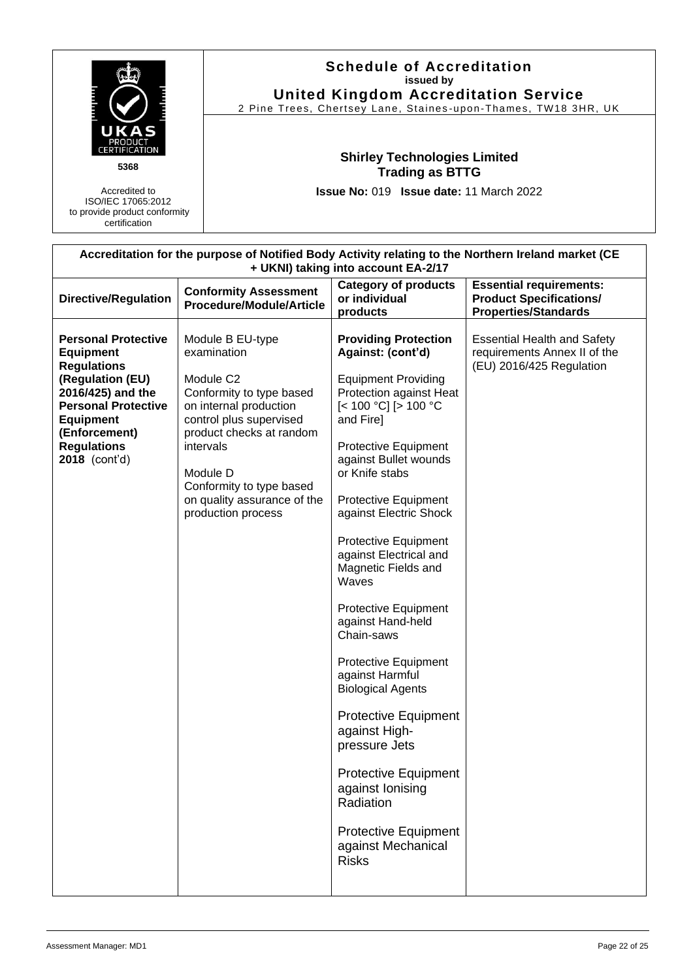|                                                                                                                                                                                                                         |                                                                                                                                                                                                                                                                                 | <b>Schedule of Accreditation</b><br>issued by                                                                                                                                                                                                                                                                                                                                                                                                                                                                                                                                                                                                                                          |                                                                                                     |  |  |  |
|-------------------------------------------------------------------------------------------------------------------------------------------------------------------------------------------------------------------------|---------------------------------------------------------------------------------------------------------------------------------------------------------------------------------------------------------------------------------------------------------------------------------|----------------------------------------------------------------------------------------------------------------------------------------------------------------------------------------------------------------------------------------------------------------------------------------------------------------------------------------------------------------------------------------------------------------------------------------------------------------------------------------------------------------------------------------------------------------------------------------------------------------------------------------------------------------------------------------|-----------------------------------------------------------------------------------------------------|--|--|--|
|                                                                                                                                                                                                                         |                                                                                                                                                                                                                                                                                 | <b>United Kingdom Accreditation Service</b><br>2 Pine Trees, Chertsey Lane, Staines-upon-Thames, TW18 3HR, UK                                                                                                                                                                                                                                                                                                                                                                                                                                                                                                                                                                          |                                                                                                     |  |  |  |
| 5368<br>Accredited to<br>ISO/IEC 17065:2012<br>to provide product conformity<br>certification                                                                                                                           |                                                                                                                                                                                                                                                                                 | <b>Shirley Technologies Limited</b><br><b>Trading as BTTG</b><br>Issue No: 019 Issue date: 11 March 2022                                                                                                                                                                                                                                                                                                                                                                                                                                                                                                                                                                               |                                                                                                     |  |  |  |
|                                                                                                                                                                                                                         |                                                                                                                                                                                                                                                                                 | + UKNI) taking into account EA-2/17                                                                                                                                                                                                                                                                                                                                                                                                                                                                                                                                                                                                                                                    | Accreditation for the purpose of Notified Body Activity relating to the Northern Ireland market (CE |  |  |  |
| <b>Directive/Regulation</b>                                                                                                                                                                                             | <b>Conformity Assessment</b><br>Procedure/Module/Article                                                                                                                                                                                                                        | <b>Category of products</b><br>or individual<br>products                                                                                                                                                                                                                                                                                                                                                                                                                                                                                                                                                                                                                               | <b>Essential requirements:</b><br><b>Product Specifications/</b><br><b>Properties/Standards</b>     |  |  |  |
| <b>Personal Protective</b><br><b>Equipment</b><br><b>Regulations</b><br>(Regulation (EU)<br>2016/425) and the<br><b>Personal Protective</b><br><b>Equipment</b><br>(Enforcement)<br><b>Regulations</b><br>2018 (cont'd) | Module B EU-type<br>examination<br>Module C <sub>2</sub><br>Conformity to type based<br>on internal production<br>control plus supervised<br>product checks at random<br>intervals<br>Module D<br>Conformity to type based<br>on quality assurance of the<br>production process | <b>Providing Protection</b><br>Against: (cont'd)<br><b>Equipment Providing</b><br>Protection against Heat<br>[< 100 °C] [> 100 °C<br>and Fire]<br>Protective Equipment<br>against Bullet wounds<br>or Knife stabs<br>Protective Equipment<br>against Electric Shock<br>Protective Equipment<br>against Electrical and<br>Magnetic Fields and<br><b>Waves</b><br>Protective Equipment<br>against Hand-held<br>Chain-saws<br>Protective Equipment<br>against Harmful<br><b>Biological Agents</b><br>Protective Equipment<br>against High-<br>pressure Jets<br><b>Protective Equipment</b><br>against lonising<br>Radiation<br>Protective Equipment<br>against Mechanical<br><b>Risks</b> | <b>Essential Health and Safety</b><br>requirements Annex II of the<br>(EU) 2016/425 Regulation      |  |  |  |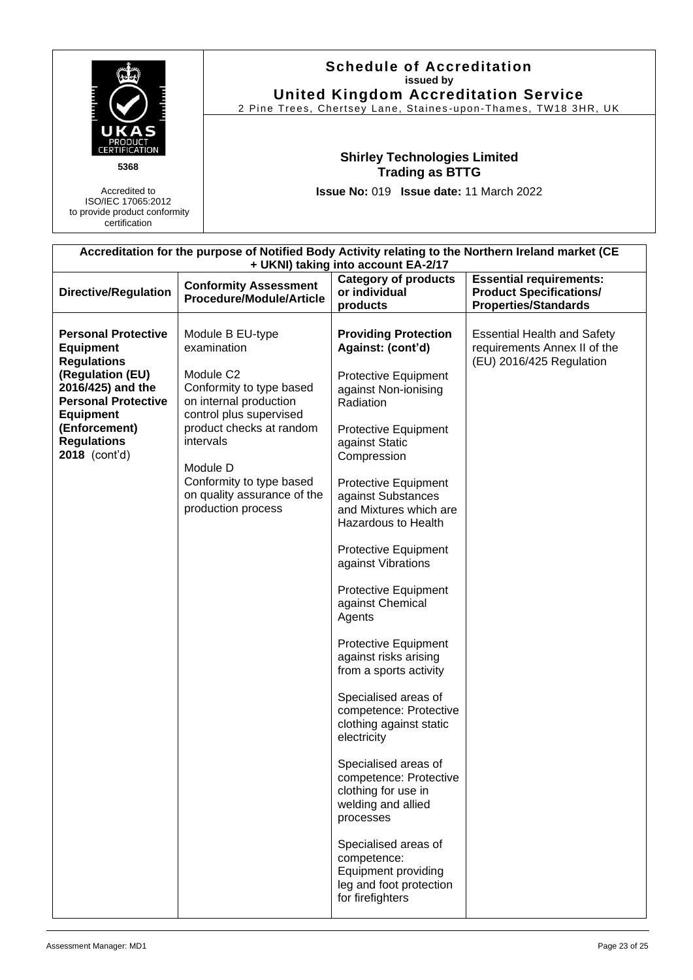| PRODUC<br>5368<br>Accredited to<br>ISO/IEC 17065:2012<br>to provide product conformity<br>certification                                                                                                                 |  | <b>Schedule of Accreditation</b><br>issued by<br><b>United Kingdom Accreditation Service</b><br>2 Pine Trees, Chertsey Lane, Staines-upon-Thames, TW18 3HR, UK                                                                                                                  |                                                                                                                                                                                                                                                                                                                                                                                                                                                                                                                                                                                                                                                                                                                                                                                         |                                                                                                     |  |
|-------------------------------------------------------------------------------------------------------------------------------------------------------------------------------------------------------------------------|--|---------------------------------------------------------------------------------------------------------------------------------------------------------------------------------------------------------------------------------------------------------------------------------|-----------------------------------------------------------------------------------------------------------------------------------------------------------------------------------------------------------------------------------------------------------------------------------------------------------------------------------------------------------------------------------------------------------------------------------------------------------------------------------------------------------------------------------------------------------------------------------------------------------------------------------------------------------------------------------------------------------------------------------------------------------------------------------------|-----------------------------------------------------------------------------------------------------|--|
|                                                                                                                                                                                                                         |  | <b>Shirley Technologies Limited</b><br><b>Trading as BTTG</b><br>Issue No: 019 Issue date: 11 March 2022                                                                                                                                                                        |                                                                                                                                                                                                                                                                                                                                                                                                                                                                                                                                                                                                                                                                                                                                                                                         |                                                                                                     |  |
|                                                                                                                                                                                                                         |  |                                                                                                                                                                                                                                                                                 | + UKNI) taking into account EA-2/17                                                                                                                                                                                                                                                                                                                                                                                                                                                                                                                                                                                                                                                                                                                                                     | Accreditation for the purpose of Notified Body Activity relating to the Northern Ireland market (CE |  |
| <b>Directive/Regulation</b>                                                                                                                                                                                             |  | <b>Conformity Assessment</b><br>Procedure/Module/Article                                                                                                                                                                                                                        | <b>Category of products</b><br>or individual<br>products                                                                                                                                                                                                                                                                                                                                                                                                                                                                                                                                                                                                                                                                                                                                | <b>Essential requirements:</b><br><b>Product Specifications/</b><br><b>Properties/Standards</b>     |  |
| <b>Personal Protective</b><br><b>Equipment</b><br><b>Regulations</b><br>(Regulation (EU)<br>2016/425) and the<br><b>Personal Protective</b><br><b>Equipment</b><br>(Enforcement)<br><b>Regulations</b><br>2018 (cont'd) |  | Module B EU-type<br>examination<br>Module C <sub>2</sub><br>Conformity to type based<br>on internal production<br>control plus supervised<br>product checks at random<br>intervals<br>Module D<br>Conformity to type based<br>on quality assurance of the<br>production process | <b>Providing Protection</b><br>Against: (cont'd)<br>Protective Equipment<br>against Non-ionising<br>Radiation<br>Protective Equipment<br>against Static<br>Compression<br>Protective Equipment<br>against Substances<br>and Mixtures which are<br><b>Hazardous to Health</b><br>Protective Equipment<br>against Vibrations<br>Protective Equipment<br>against Chemical<br>Agents<br>Protective Equipment<br>against risks arising<br>from a sports activity<br>Specialised areas of<br>competence: Protective<br>clothing against static<br>electricity<br>Specialised areas of<br>competence: Protective<br>clothing for use in<br>welding and allied<br>processes<br>Specialised areas of<br>competence:<br><b>Equipment providing</b><br>leg and foot protection<br>for firefighters | <b>Essential Health and Safety</b><br>requirements Annex II of the<br>(EU) 2016/425 Regulation      |  |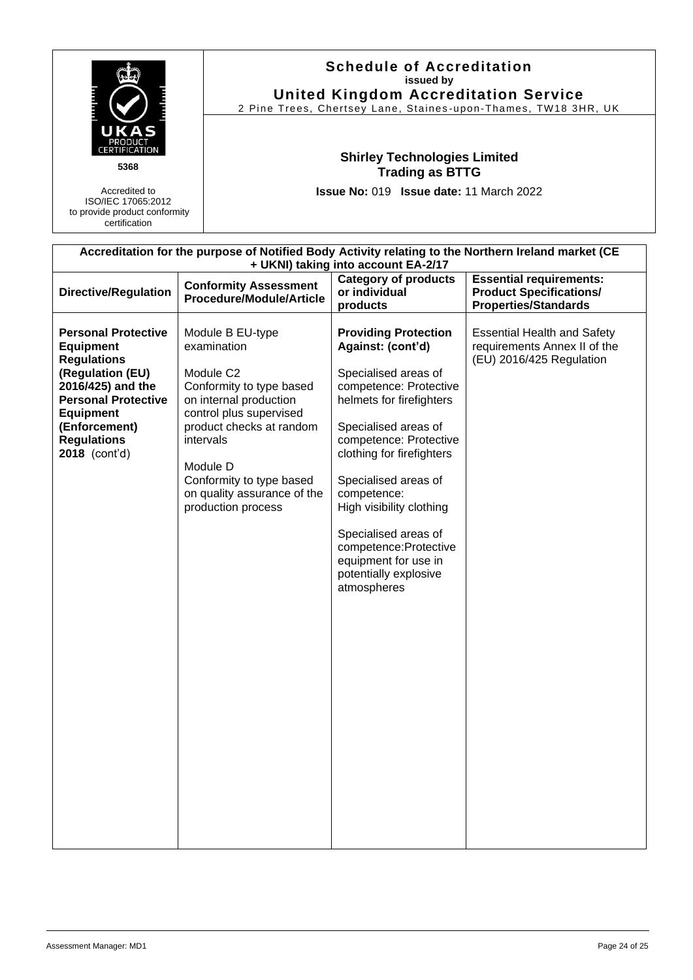|                                                                                                                                                                                                                         |  | <b>Schedule of Accreditation</b><br>issued by<br><b>United Kingdom Accreditation Service</b><br>2 Pine Trees, Chertsey Lane, Staines-upon-Thames, TW18 3HR, UK<br><b>Shirley Technologies Limited</b>                                                                           |                                                                                                                                                                                                                                                                                                                                                                                                    |                                                                                                 |  |  |  |  |
|-------------------------------------------------------------------------------------------------------------------------------------------------------------------------------------------------------------------------|--|---------------------------------------------------------------------------------------------------------------------------------------------------------------------------------------------------------------------------------------------------------------------------------|----------------------------------------------------------------------------------------------------------------------------------------------------------------------------------------------------------------------------------------------------------------------------------------------------------------------------------------------------------------------------------------------------|-------------------------------------------------------------------------------------------------|--|--|--|--|
| 5368                                                                                                                                                                                                                    |  | <b>Trading as BTTG</b>                                                                                                                                                                                                                                                          |                                                                                                                                                                                                                                                                                                                                                                                                    |                                                                                                 |  |  |  |  |
| Accredited to<br>ISO/IEC 17065:2012<br>to provide product conformity<br>certification                                                                                                                                   |  | Issue No: 019 Issue date: 11 March 2022                                                                                                                                                                                                                                         |                                                                                                                                                                                                                                                                                                                                                                                                    |                                                                                                 |  |  |  |  |
| Accreditation for the purpose of Notified Body Activity relating to the Northern Ireland market (CE<br>+ UKNI) taking into account EA-2/17                                                                              |  |                                                                                                                                                                                                                                                                                 |                                                                                                                                                                                                                                                                                                                                                                                                    |                                                                                                 |  |  |  |  |
| <b>Directive/Regulation</b>                                                                                                                                                                                             |  | <b>Conformity Assessment</b><br>Procedure/Module/Article                                                                                                                                                                                                                        | <b>Category of products</b><br>or individual<br>products                                                                                                                                                                                                                                                                                                                                           | <b>Essential requirements:</b><br><b>Product Specifications/</b><br><b>Properties/Standards</b> |  |  |  |  |
| <b>Personal Protective</b><br><b>Equipment</b><br><b>Regulations</b><br>(Regulation (EU)<br>2016/425) and the<br><b>Personal Protective</b><br><b>Equipment</b><br>(Enforcement)<br><b>Regulations</b><br>2018 (cont'd) |  | Module B EU-type<br>examination<br>Module C <sub>2</sub><br>Conformity to type based<br>on internal production<br>control plus supervised<br>product checks at random<br>intervals<br>Module D<br>Conformity to type based<br>on quality assurance of the<br>production process | <b>Providing Protection</b><br>Against: (cont'd)<br>Specialised areas of<br>competence: Protective<br>helmets for firefighters<br>Specialised areas of<br>competence: Protective<br>clothing for firefighters<br>Specialised areas of<br>competence:<br>High visibility clothing<br>Specialised areas of<br>competence: Protective<br>equipment for use in<br>potentially explosive<br>atmospheres | <b>Essential Health and Safety</b><br>requirements Annex II of the<br>(EU) 2016/425 Regulation  |  |  |  |  |